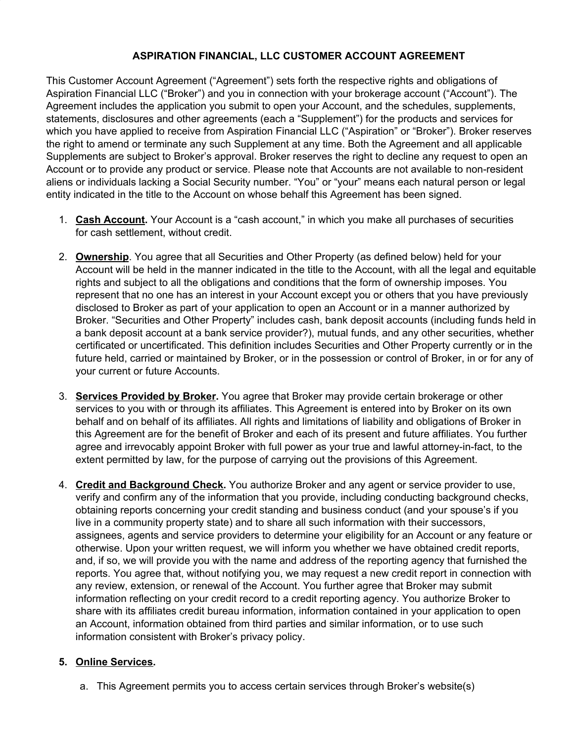# **ASPIRATION FINANCIAL, LLC CUSTOMER ACCOUNT AGREEMENT**

This Customer Account Agreement ("Agreement") sets forth the respective rights and obligations of Aspiration Financial LLC ("Broker") and you in connection with your brokerage account ("Account"). The Agreement includes the application you submit to open your Account, and the schedules, supplements, statements, disclosures and other agreements (each a "Supplement") for the products and services for which you have applied to receive from Aspiration Financial LLC ("Aspiration" or "Broker"). Broker reserves the right to amend or terminate any such Supplement at any time. Both the Agreement and all applicable Supplements are subject to Broker's approval. Broker reserves the right to decline any request to open an Account or to provide any product or service. Please note that Accounts are not available to non-resident aliens or individuals lacking a Social Security number. "You" or "your" means each natural person or legal entity indicated in the title to the Account on whose behalf this Agreement has been signed.

- 1. **Cash Account.** Your Account is a "cash account," in which you make all purchases of securities for cash settlement, without credit.
- 2. **Ownership**. You agree that all Securities and Other Property (as defined below) held for your Account will be held in the manner indicated in the title to the Account, with all the legal and equitable rights and subject to all the obligations and conditions that the form of ownership imposes. You represent that no one has an interest in your Account except you or others that you have previously disclosed to Broker as part of your application to open an Account or in a manner authorized by Broker. "Securities and Other Property" includes cash, bank deposit accounts (including funds held in a bank deposit account at a bank service provider?), mutual funds, and any other securities, whether certificated or uncertificated. This definition includes Securities and Other Property currently or in the future held, carried or maintained by Broker, or in the possession or control of Broker, in or for any of your current or future Accounts.
- 3. **Services Provided by Broker.** You agree that Broker may provide certain brokerage or other services to you with or through its affiliates. This Agreement is entered into by Broker on its own behalf and on behalf of its affiliates. All rights and limitations of liability and obligations of Broker in this Agreement are for the benefit of Broker and each of its present and future affiliates. You further agree and irrevocably appoint Broker with full power as your true and lawful attorney-in-fact, to the extent permitted by law, for the purpose of carrying out the provisions of this Agreement.
- 4. **Credit and Background Check.** You authorize Broker and any agent or service provider to use, verify and confirm any of the information that you provide, including conducting background checks, obtaining reports concerning your credit standing and business conduct (and your spouse's if you live in a community property state) and to share all such information with their successors, assignees, agents and service providers to determine your eligibility for an Account or any feature or otherwise. Upon your written request, we will inform you whether we have obtained credit reports, and, if so, we will provide you with the name and address of the reporting agency that furnished the reports. You agree that, without notifying you, we may request a new credit report in connection with any review, extension, or renewal of the Account. You further agree that Broker may submit information reflecting on your credit record to a credit reporting agency. You authorize Broker to share with its affiliates credit bureau information, information contained in your application to open an Account, information obtained from third parties and similar information, or to use such information consistent with Broker's privacy policy.

## **5. Online Services.**

a. This Agreement permits you to access certain services through Broker's website(s)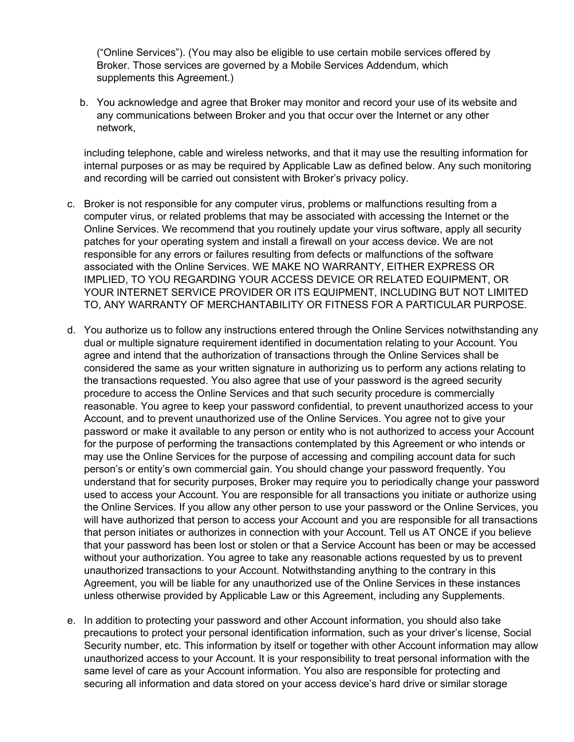("Online Services"). (You may also be eligible to use certain mobile services offered by Broker. Those services are governed by a Mobile Services Addendum, which supplements this Agreement.)

b. You acknowledge and agree that Broker may monitor and record your use of its website and any communications between Broker and you that occur over the Internet or any other network,

including telephone, cable and wireless networks, and that it may use the resulting information for internal purposes or as may be required by Applicable Law as defined below. Any such monitoring and recording will be carried out consistent with Broker's privacy policy.

- c. Broker is not responsible for any computer virus, problems or malfunctions resulting from a computer virus, or related problems that may be associated with accessing the Internet or the Online Services. We recommend that you routinely update your virus software, apply all security patches for your operating system and install a firewall on your access device. We are not responsible for any errors or failures resulting from defects or malfunctions of the software associated with the Online Services. WE MAKE NO WARRANTY, EITHER EXPRESS OR IMPLIED, TO YOU REGARDING YOUR ACCESS DEVICE OR RELATED EQUIPMENT, OR YOUR INTERNET SERVICE PROVIDER OR ITS EQUIPMENT, INCLUDING BUT NOT LIMITED TO, ANY WARRANTY OF MERCHANTABILITY OR FITNESS FOR A PARTICULAR PURPOSE.
- d. You authorize us to follow any instructions entered through the Online Services notwithstanding any dual or multiple signature requirement identified in documentation relating to your Account. You agree and intend that the authorization of transactions through the Online Services shall be considered the same as your written signature in authorizing us to perform any actions relating to the transactions requested. You also agree that use of your password is the agreed security procedure to access the Online Services and that such security procedure is commercially reasonable. You agree to keep your password confidential, to prevent unauthorized access to your Account, and to prevent unauthorized use of the Online Services. You agree not to give your password or make it available to any person or entity who is not authorized to access your Account for the purpose of performing the transactions contemplated by this Agreement or who intends or may use the Online Services for the purpose of accessing and compiling account data for such person's or entity's own commercial gain. You should change your password frequently. You understand that for security purposes, Broker may require you to periodically change your password used to access your Account. You are responsible for all transactions you initiate or authorize using the Online Services. If you allow any other person to use your password or the Online Services, you will have authorized that person to access your Account and you are responsible for all transactions that person initiates or authorizes in connection with your Account. Tell us AT ONCE if you believe that your password has been lost or stolen or that a Service Account has been or may be accessed without your authorization. You agree to take any reasonable actions requested by us to prevent unauthorized transactions to your Account. Notwithstanding anything to the contrary in this Agreement, you will be liable for any unauthorized use of the Online Services in these instances unless otherwise provided by Applicable Law or this Agreement, including any Supplements.
- e. In addition to protecting your password and other Account information, you should also take precautions to protect your personal identification information, such as your driver's license, Social Security number, etc. This information by itself or together with other Account information may allow unauthorized access to your Account. It is your responsibility to treat personal information with the same level of care as your Account information. You also are responsible for protecting and securing all information and data stored on your access device's hard drive or similar storage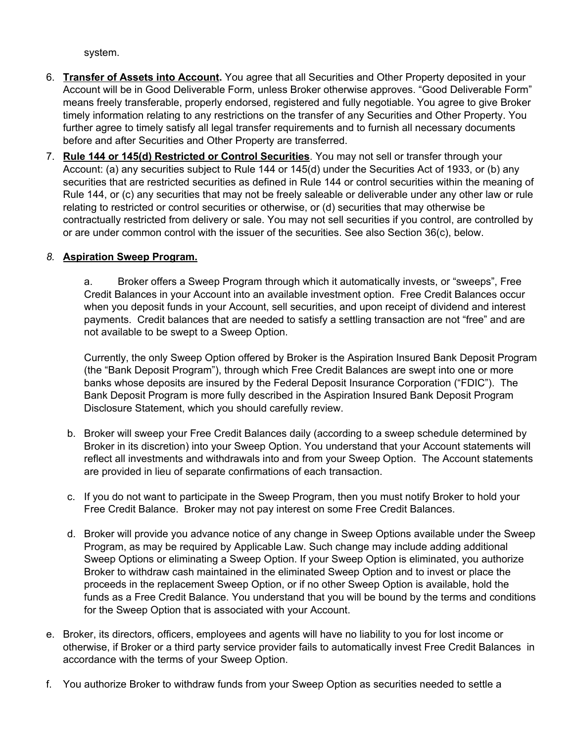system.

- 6. **Transfer of Assets into Account.** You agree that all Securities and Other Property deposited in your Account will be in Good Deliverable Form, unless Broker otherwise approves. "Good Deliverable Form" means freely transferable, properly endorsed, registered and fully negotiable. You agree to give Broker timely information relating to any restrictions on the transfer of any Securities and Other Property. You further agree to timely satisfy all legal transfer requirements and to furnish all necessary documents before and after Securities and Other Property are transferred.
- 7. **Rule 144 or 145(d) Restricted or Control Securities**. You may not sell or transfer through your Account: (a) any securities subject to Rule 144 or 145(d) under the Securities Act of 1933, or (b) any securities that are restricted securities as defined in Rule 144 or control securities within the meaning of Rule 144, or (c) any securities that may not be freely saleable or deliverable under any other law or rule relating to restricted or control securities or otherwise, or (d) securities that may otherwise be contractually restricted from delivery or sale. You may not sell securities if you control, are controlled by or are under common control with the issuer of the securities. See also Section 36(c), below.

## *8.* **Aspiration Sweep Program.**

a. Broker offers a Sweep Program through which it automatically invests, or "sweeps", Free Credit Balances in your Account into an available investment option. Free Credit Balances occur when you deposit funds in your Account, sell securities, and upon receipt of dividend and interest payments. Credit balances that are needed to satisfy a settling transaction are not "free" and are not available to be swept to a Sweep Option.

Currently, the only Sweep Option offered by Broker is the Aspiration Insured Bank Deposit Program (the "Bank Deposit Program"), through which Free Credit Balances are swept into one or more banks whose deposits are insured by the Federal Deposit Insurance Corporation ("FDIC"). The Bank Deposit Program is more fully described in the Aspiration Insured Bank Deposit Program Disclosure Statement, which you should carefully review.

- b. Broker will sweep your Free Credit Balances daily (according to a sweep schedule determined by Broker in its discretion) into your Sweep Option. You understand that your Account statements will reflect all investments and withdrawals into and from your Sweep Option. The Account statements are provided in lieu of separate confirmations of each transaction.
- c. If you do not want to participate in the Sweep Program, then you must notify Broker to hold your Free Credit Balance. Broker may not pay interest on some Free Credit Balances.
- d. Broker will provide you advance notice of any change in Sweep Options available under the Sweep Program, as may be required by Applicable Law. Such change may include adding additional Sweep Options or eliminating a Sweep Option. If your Sweep Option is eliminated, you authorize Broker to withdraw cash maintained in the eliminated Sweep Option and to invest or place the proceeds in the replacement Sweep Option, or if no other Sweep Option is available, hold the funds as a Free Credit Balance. You understand that you will be bound by the terms and conditions for the Sweep Option that is associated with your Account.
- e. Broker, its directors, officers, employees and agents will have no liability to you for lost income or otherwise, if Broker or a third party service provider fails to automatically invest Free Credit Balances in accordance with the terms of your Sweep Option.
- f. You authorize Broker to withdraw funds from your Sweep Option as securities needed to settle a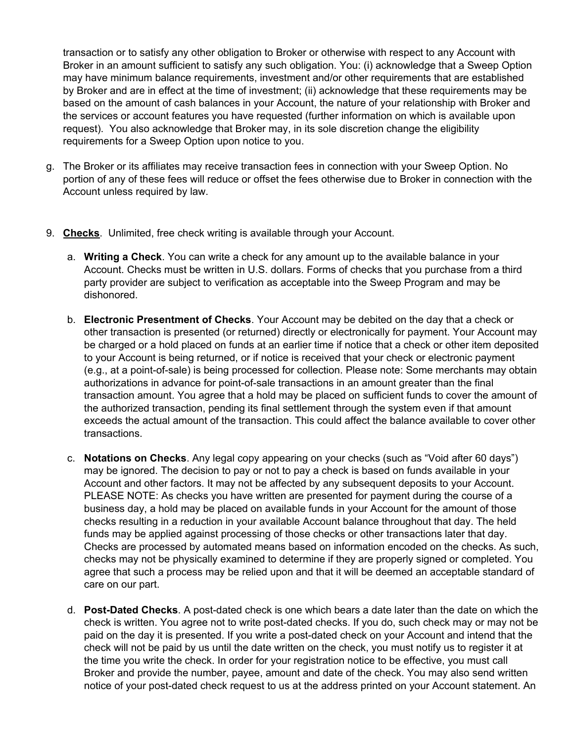transaction or to satisfy any other obligation to Broker or otherwise with respect to any Account with Broker in an amount sufficient to satisfy any such obligation. You: (i) acknowledge that a Sweep Option may have minimum balance requirements, investment and/or other requirements that are established by Broker and are in effect at the time of investment; (ii) acknowledge that these requirements may be based on the amount of cash balances in your Account, the nature of your relationship with Broker and the services or account features you have requested (further information on which is available upon request). You also acknowledge that Broker may, in its sole discretion change the eligibility requirements for a Sweep Option upon notice to you.

- g. The Broker or its affiliates may receive transaction fees in connection with your Sweep Option. No portion of any of these fees will reduce or offset the fees otherwise due to Broker in connection with the Account unless required by law.
- 9. **Checks**. Unlimited, free check writing is available through your Account.
	- a. **Writing a Check**. You can write a check for any amount up to the available balance in your Account. Checks must be written in U.S. dollars. Forms of checks that you purchase from a third party provider are subject to verification as acceptable into the Sweep Program and may be dishonored.
	- b. **Electronic Presentment of Checks**. Your Account may be debited on the day that a check or other transaction is presented (or returned) directly or electronically for payment. Your Account may be charged or a hold placed on funds at an earlier time if notice that a check or other item deposited to your Account is being returned, or if notice is received that your check or electronic payment (e.g., at a point-of-sale) is being processed for collection. Please note: Some merchants may obtain authorizations in advance for point-of-sale transactions in an amount greater than the final transaction amount. You agree that a hold may be placed on sufficient funds to cover the amount of the authorized transaction, pending its final settlement through the system even if that amount exceeds the actual amount of the transaction. This could affect the balance available to cover other transactions.
	- c. **Notations on Checks**. Any legal copy appearing on your checks (such as "Void after 60 days") may be ignored. The decision to pay or not to pay a check is based on funds available in your Account and other factors. It may not be affected by any subsequent deposits to your Account. PLEASE NOTE: As checks you have written are presented for payment during the course of a business day, a hold may be placed on available funds in your Account for the amount of those checks resulting in a reduction in your available Account balance throughout that day. The held funds may be applied against processing of those checks or other transactions later that day. Checks are processed by automated means based on information encoded on the checks. As such, checks may not be physically examined to determine if they are properly signed or completed. You agree that such a process may be relied upon and that it will be deemed an acceptable standard of care on our part.
	- d. **Post-Dated Checks**. A post-dated check is one which bears a date later than the date on which the check is written. You agree not to write post-dated checks. If you do, such check may or may not be paid on the day it is presented. If you write a post-dated check on your Account and intend that the check will not be paid by us until the date written on the check, you must notify us to register it at the time you write the check. In order for your registration notice to be effective, you must call Broker and provide the number, payee, amount and date of the check. You may also send written notice of your post-dated check request to us at the address printed on your Account statement. An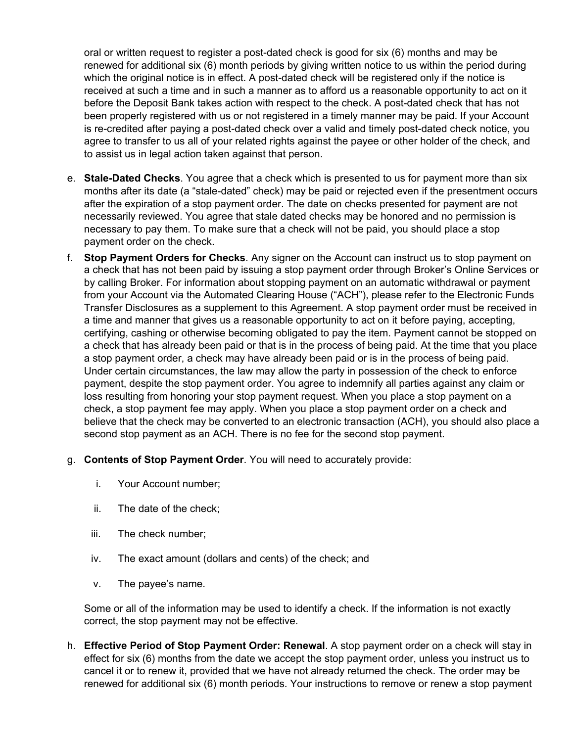oral or written request to register a post-dated check is good for six (6) months and may be renewed for additional six (6) month periods by giving written notice to us within the period during which the original notice is in effect. A post-dated check will be registered only if the notice is received at such a time and in such a manner as to afford us a reasonable opportunity to act on it before the Deposit Bank takes action with respect to the check. A post-dated check that has not been properly registered with us or not registered in a timely manner may be paid. If your Account is re-credited after paying a post-dated check over a valid and timely post-dated check notice, you agree to transfer to us all of your related rights against the payee or other holder of the check, and to assist us in legal action taken against that person.

- e. **Stale-Dated Checks**. You agree that a check which is presented to us for payment more than six months after its date (a "stale-dated" check) may be paid or rejected even if the presentment occurs after the expiration of a stop payment order. The date on checks presented for payment are not necessarily reviewed. You agree that stale dated checks may be honored and no permission is necessary to pay them. To make sure that a check will not be paid, you should place a stop payment order on the check.
- f. **Stop Payment Orders for Checks**. Any signer on the Account can instruct us to stop payment on a check that has not been paid by issuing a stop payment order through Broker's Online Services or by calling Broker. For information about stopping payment on an automatic withdrawal or payment from your Account via the Automated Clearing House ("ACH"), please refer to the Electronic Funds Transfer Disclosures as a supplement to this Agreement. A stop payment order must be received in a time and manner that gives us a reasonable opportunity to act on it before paying, accepting, certifying, cashing or otherwise becoming obligated to pay the item. Payment cannot be stopped on a check that has already been paid or that is in the process of being paid. At the time that you place a stop payment order, a check may have already been paid or is in the process of being paid. Under certain circumstances, the law may allow the party in possession of the check to enforce payment, despite the stop payment order. You agree to indemnify all parties against any claim or loss resulting from honoring your stop payment request. When you place a stop payment on a check, a stop payment fee may apply. When you place a stop payment order on a check and believe that the check may be converted to an electronic transaction (ACH), you should also place a second stop payment as an ACH. There is no fee for the second stop payment.
- g. **Contents of Stop Payment Order**. You will need to accurately provide:
	- i. Your Account number;
	- ii. The date of the check;
	- iii. The check number;
	- iv. The exact amount (dollars and cents) of the check; and
	- v. The payee's name.

Some or all of the information may be used to identify a check. If the information is not exactly correct, the stop payment may not be effective.

h. **Effective Period of Stop Payment Order: Renewal**. A stop payment order on a check will stay in effect for six (6) months from the date we accept the stop payment order, unless you instruct us to cancel it or to renew it, provided that we have not already returned the check. The order may be renewed for additional six (6) month periods. Your instructions to remove or renew a stop payment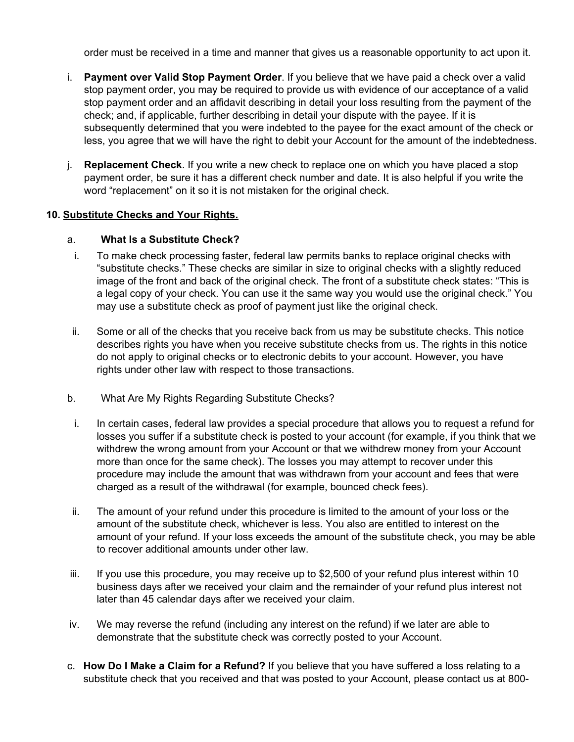order must be received in a time and manner that gives us a reasonable opportunity to act upon it.

- i. **Payment over Valid Stop Payment Order**. If you believe that we have paid a check over a valid stop payment order, you may be required to provide us with evidence of our acceptance of a valid stop payment order and an affidavit describing in detail your loss resulting from the payment of the check; and, if applicable, further describing in detail your dispute with the payee. If it is subsequently determined that you were indebted to the payee for the exact amount of the check or less, you agree that we will have the right to debit your Account for the amount of the indebtedness.
- j. **Replacement Check**. If you write a new check to replace one on which you have placed a stop payment order, be sure it has a different check number and date. It is also helpful if you write the word "replacement" on it so it is not mistaken for the original check.

## **10. Substitute Checks and Your Rights.**

## a. **What Is a Substitute Check?**

- i. To make check processing faster, federal law permits banks to replace original checks with "substitute checks." These checks are similar in size to original checks with a slightly reduced image of the front and back of the original check. The front of a substitute check states: "This is a legal copy of your check. You can use it the same way you would use the original check." You may use a substitute check as proof of payment just like the original check.
- ii. Some or all of the checks that you receive back from us may be substitute checks. This notice describes rights you have when you receive substitute checks from us. The rights in this notice do not apply to original checks or to electronic debits to your account. However, you have rights under other law with respect to those transactions.
- b. What Are My Rights Regarding Substitute Checks?
- i. In certain cases, federal law provides a special procedure that allows you to request a refund for losses you suffer if a substitute check is posted to your account (for example, if you think that we withdrew the wrong amount from your Account or that we withdrew money from your Account more than once for the same check). The losses you may attempt to recover under this procedure may include the amount that was withdrawn from your account and fees that were charged as a result of the withdrawal (for example, bounced check fees).
- ii. The amount of your refund under this procedure is limited to the amount of your loss or the amount of the substitute check, whichever is less. You also are entitled to interest on the amount of your refund. If your loss exceeds the amount of the substitute check, you may be able to recover additional amounts under other law.
- iii. If you use this procedure, you may receive up to \$2,500 of your refund plus interest within 10 business days after we received your claim and the remainder of your refund plus interest not later than 45 calendar days after we received your claim.
- iv. We may reverse the refund (including any interest on the refund) if we later are able to demonstrate that the substitute check was correctly posted to your Account.
- c. **How Do I Make a Claim for a Refund?** If you believe that you have suffered a loss relating to a substitute check that you received and that was posted to your Account, please contact us at 800-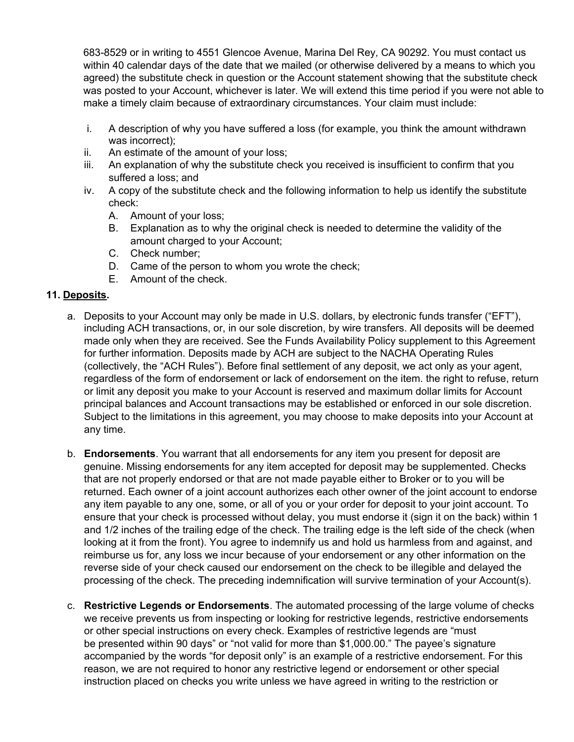683-8529 or in writing to 4551 Glencoe Avenue, Marina Del Rey, CA 90292. You must contact us within 40 calendar days of the date that we mailed (or otherwise delivered by a means to which you agreed) the substitute check in question or the Account statement showing that the substitute check was posted to your Account, whichever is later. We will extend this time period if you were not able to make a timely claim because of extraordinary circumstances. Your claim must include:

- i. A description of why you have suffered a loss (for example, you think the amount withdrawn was incorrect);
- ii. An estimate of the amount of your loss;
- iii. An explanation of why the substitute check you received is insufficient to confirm that you suffered a loss; and
- iv. A copy of the substitute check and the following information to help us identify the substitute check:
	- A. Amount of your loss;
	- B. Explanation as to why the original check is needed to determine the validity of the amount charged to your Account;
	- C. Check number;
	- D. Came of the person to whom you wrote the check;
	- E. Amount of the check.

### **11. Deposits.**

- a. Deposits to your Account may only be made in U.S. dollars, by electronic funds transfer ("EFT"), including ACH transactions, or, in our sole discretion, by wire transfers. All deposits will be deemed made only when they are received. See the Funds Availability Policy supplement to this Agreement for further information. Deposits made by ACH are subject to the NACHA Operating Rules (collectively, the "ACH Rules"). Before final settlement of any deposit, we act only as your agent, regardless of the form of endorsement or lack of endorsement on the item. the right to refuse, return or limit any deposit you make to your Account is reserved and maximum dollar limits for Account principal balances and Account transactions may be established or enforced in our sole discretion. Subject to the limitations in this agreement, you may choose to make deposits into your Account at any time.
- b. **Endorsements**. You warrant that all endorsements for any item you present for deposit are genuine. Missing endorsements for any item accepted for deposit may be supplemented. Checks that are not properly endorsed or that are not made payable either to Broker or to you will be returned. Each owner of a joint account authorizes each other owner of the joint account to endorse any item payable to any one, some, or all of you or your order for deposit to your joint account. To ensure that your check is processed without delay, you must endorse it (sign it on the back) within 1 and 1/2 inches of the trailing edge of the check. The trailing edge is the left side of the check (when looking at it from the front). You agree to indemnify us and hold us harmless from and against, and reimburse us for, any loss we incur because of your endorsement or any other information on the reverse side of your check caused our endorsement on the check to be illegible and delayed the processing of the check. The preceding indemnification will survive termination of your Account(s).
- c. **Restrictive Legends or Endorsements**. The automated processing of the large volume of checks we receive prevents us from inspecting or looking for restrictive legends, restrictive endorsements or other special instructions on every check. Examples of restrictive legends are "must be presented within 90 days" or "not valid for more than \$1,000.00." The payee's signature accompanied by the words "for deposit only" is an example of a restrictive endorsement. For this reason, we are not required to honor any restrictive legend or endorsement or other special instruction placed on checks you write unless we have agreed in writing to the restriction or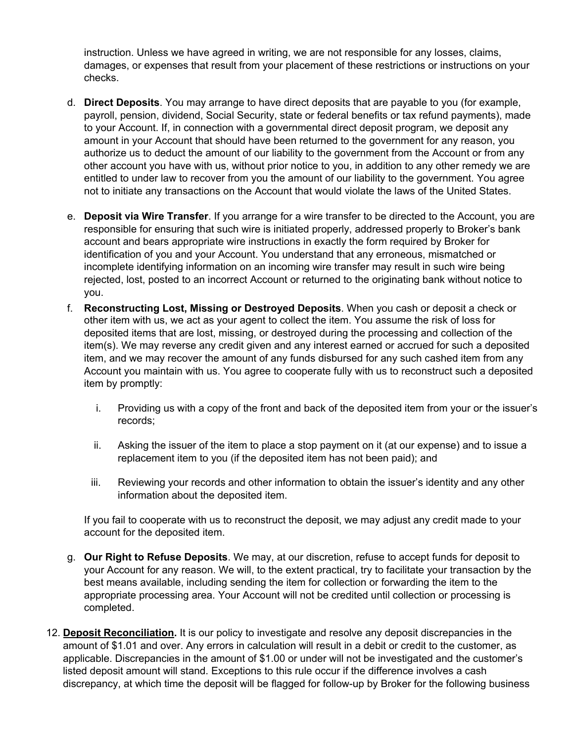instruction. Unless we have agreed in writing, we are not responsible for any losses, claims, damages, or expenses that result from your placement of these restrictions or instructions on your checks.

- d. **Direct Deposits**. You may arrange to have direct deposits that are payable to you (for example, payroll, pension, dividend, Social Security, state or federal benefits or tax refund payments), made to your Account. If, in connection with a governmental direct deposit program, we deposit any amount in your Account that should have been returned to the government for any reason, you authorize us to deduct the amount of our liability to the government from the Account or from any other account you have with us, without prior notice to you, in addition to any other remedy we are entitled to under law to recover from you the amount of our liability to the government. You agree not to initiate any transactions on the Account that would violate the laws of the United States.
- e. **Deposit via Wire Transfer**. If you arrange for a wire transfer to be directed to the Account, you are responsible for ensuring that such wire is initiated properly, addressed properly to Broker's bank account and bears appropriate wire instructions in exactly the form required by Broker for identification of you and your Account. You understand that any erroneous, mismatched or incomplete identifying information on an incoming wire transfer may result in such wire being rejected, lost, posted to an incorrect Account or returned to the originating bank without notice to you.
- f. **Reconstructing Lost, Missing or Destroyed Deposits**. When you cash or deposit a check or other item with us, we act as your agent to collect the item. You assume the risk of loss for deposited items that are lost, missing, or destroyed during the processing and collection of the item(s). We may reverse any credit given and any interest earned or accrued for such a deposited item, and we may recover the amount of any funds disbursed for any such cashed item from any Account you maintain with us. You agree to cooperate fully with us to reconstruct such a deposited item by promptly:
	- i. Providing us with a copy of the front and back of the deposited item from your or the issuer's records;
	- ii. Asking the issuer of the item to place a stop payment on it (at our expense) and to issue a replacement item to you (if the deposited item has not been paid); and
	- iii. Reviewing your records and other information to obtain the issuer's identity and any other information about the deposited item.

If you fail to cooperate with us to reconstruct the deposit, we may adjust any credit made to your account for the deposited item.

- g. **Our Right to Refuse Deposits**. We may, at our discretion, refuse to accept funds for deposit to your Account for any reason. We will, to the extent practical, try to facilitate your transaction by the best means available, including sending the item for collection or forwarding the item to the appropriate processing area. Your Account will not be credited until collection or processing is completed.
- 12. **Deposit Reconciliation.** It is our policy to investigate and resolve any deposit discrepancies in the amount of \$1.01 and over. Any errors in calculation will result in a debit or credit to the customer, as applicable. Discrepancies in the amount of \$1.00 or under will not be investigated and the customer's listed deposit amount will stand. Exceptions to this rule occur if the difference involves a cash discrepancy, at which time the deposit will be flagged for follow-up by Broker for the following business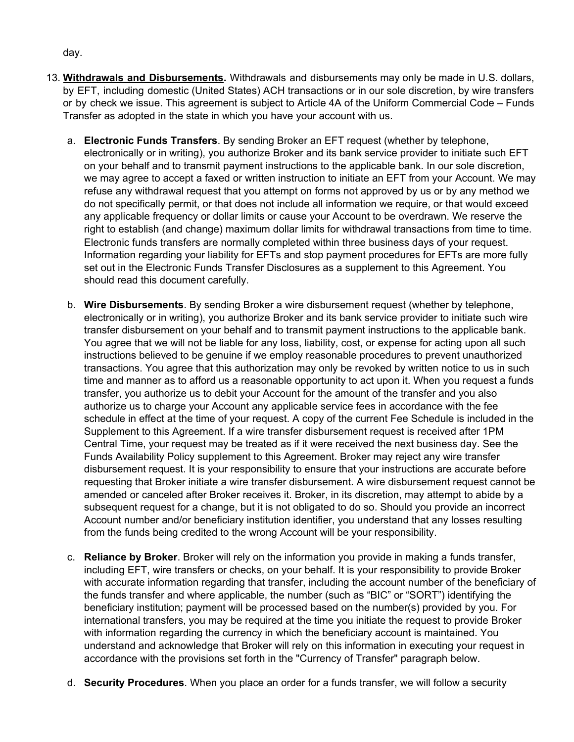day.

- 13. **Withdrawals and Disbursements.** Withdrawals and disbursements may only be made in U.S. dollars, by EFT, including domestic (United States) ACH transactions or in our sole discretion, by wire transfers or by check we issue. This agreement is subject to Article 4A of the Uniform Commercial Code – Funds Transfer as adopted in the state in which you have your account with us.
	- a. **Electronic Funds Transfers**. By sending Broker an EFT request (whether by telephone, electronically or in writing), you authorize Broker and its bank service provider to initiate such EFT on your behalf and to transmit payment instructions to the applicable bank. In our sole discretion, we may agree to accept a faxed or written instruction to initiate an EFT from your Account. We may refuse any withdrawal request that you attempt on forms not approved by us or by any method we do not specifically permit, or that does not include all information we require, or that would exceed any applicable frequency or dollar limits or cause your Account to be overdrawn. We reserve the right to establish (and change) maximum dollar limits for withdrawal transactions from time to time. Electronic funds transfers are normally completed within three business days of your request. Information regarding your liability for EFTs and stop payment procedures for EFTs are more fully set out in the Electronic Funds Transfer Disclosures as a supplement to this Agreement. You should read this document carefully.
	- b. **Wire Disbursements**. By sending Broker a wire disbursement request (whether by telephone, electronically or in writing), you authorize Broker and its bank service provider to initiate such wire transfer disbursement on your behalf and to transmit payment instructions to the applicable bank. You agree that we will not be liable for any loss, liability, cost, or expense for acting upon all such instructions believed to be genuine if we employ reasonable procedures to prevent unauthorized transactions. You agree that this authorization may only be revoked by written notice to us in such time and manner as to afford us a reasonable opportunity to act upon it. When you request a funds transfer, you authorize us to debit your Account for the amount of the transfer and you also authorize us to charge your Account any applicable service fees in accordance with the fee schedule in effect at the time of your request. A copy of the current Fee Schedule is included in the Supplement to this Agreement. If a wire transfer disbursement request is received after 1PM Central Time, your request may be treated as if it were received the next business day. See the Funds Availability Policy supplement to this Agreement. Broker may reject any wire transfer disbursement request. It is your responsibility to ensure that your instructions are accurate before requesting that Broker initiate a wire transfer disbursement. A wire disbursement request cannot be amended or canceled after Broker receives it. Broker, in its discretion, may attempt to abide by a subsequent request for a change, but it is not obligated to do so. Should you provide an incorrect Account number and/or beneficiary institution identifier, you understand that any losses resulting from the funds being credited to the wrong Account will be your responsibility.
	- c. **Reliance by Broker**. Broker will rely on the information you provide in making a funds transfer, including EFT, wire transfers or checks, on your behalf. It is your responsibility to provide Broker with accurate information regarding that transfer, including the account number of the beneficiary of the funds transfer and where applicable, the number (such as "BIC" or "SORT") identifying the beneficiary institution; payment will be processed based on the number(s) provided by you. For international transfers, you may be required at the time you initiate the request to provide Broker with information regarding the currency in which the beneficiary account is maintained. You understand and acknowledge that Broker will rely on this information in executing your request in accordance with the provisions set forth in the "Currency of Transfer" paragraph below.
	- d. **Security Procedures**. When you place an order for a funds transfer, we will follow a security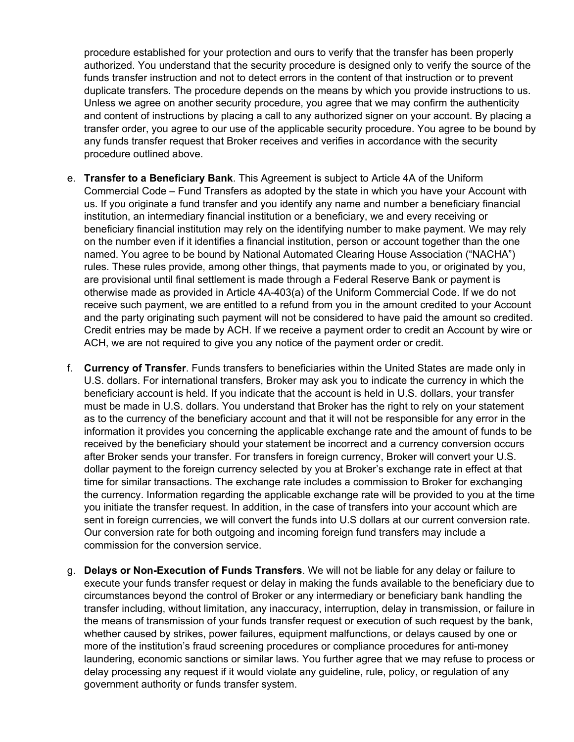procedure established for your protection and ours to verify that the transfer has been properly authorized. You understand that the security procedure is designed only to verify the source of the funds transfer instruction and not to detect errors in the content of that instruction or to prevent duplicate transfers. The procedure depends on the means by which you provide instructions to us. Unless we agree on another security procedure, you agree that we may confirm the authenticity and content of instructions by placing a call to any authorized signer on your account. By placing a transfer order, you agree to our use of the applicable security procedure. You agree to be bound by any funds transfer request that Broker receives and verifies in accordance with the security procedure outlined above.

- e. **Transfer to a Beneficiary Bank**. This Agreement is subject to Article 4A of the Uniform Commercial Code – Fund Transfers as adopted by the state in which you have your Account with us. If you originate a fund transfer and you identify any name and number a beneficiary financial institution, an intermediary financial institution or a beneficiary, we and every receiving or beneficiary financial institution may rely on the identifying number to make payment. We may rely on the number even if it identifies a financial institution, person or account together than the one named. You agree to be bound by National Automated Clearing House Association ("NACHA") rules. These rules provide, among other things, that payments made to you, or originated by you, are provisional until final settlement is made through a Federal Reserve Bank or payment is otherwise made as provided in Article 4A-403(a) of the Uniform Commercial Code. If we do not receive such payment, we are entitled to a refund from you in the amount credited to your Account and the party originating such payment will not be considered to have paid the amount so credited. Credit entries may be made by ACH. If we receive a payment order to credit an Account by wire or ACH, we are not required to give you any notice of the payment order or credit.
- f. **Currency of Transfer**. Funds transfers to beneficiaries within the United States are made only in U.S. dollars. For international transfers, Broker may ask you to indicate the currency in which the beneficiary account is held. If you indicate that the account is held in U.S. dollars, your transfer must be made in U.S. dollars. You understand that Broker has the right to rely on your statement as to the currency of the beneficiary account and that it will not be responsible for any error in the information it provides you concerning the applicable exchange rate and the amount of funds to be received by the beneficiary should your statement be incorrect and a currency conversion occurs after Broker sends your transfer. For transfers in foreign currency, Broker will convert your U.S. dollar payment to the foreign currency selected by you at Broker's exchange rate in effect at that time for similar transactions. The exchange rate includes a commission to Broker for exchanging the currency. Information regarding the applicable exchange rate will be provided to you at the time you initiate the transfer request. In addition, in the case of transfers into your account which are sent in foreign currencies, we will convert the funds into U.S dollars at our current conversion rate. Our conversion rate for both outgoing and incoming foreign fund transfers may include a commission for the conversion service.
- g. **Delays or Non-Execution of Funds Transfers**. We will not be liable for any delay or failure to execute your funds transfer request or delay in making the funds available to the beneficiary due to circumstances beyond the control of Broker or any intermediary or beneficiary bank handling the transfer including, without limitation, any inaccuracy, interruption, delay in transmission, or failure in the means of transmission of your funds transfer request or execution of such request by the bank, whether caused by strikes, power failures, equipment malfunctions, or delays caused by one or more of the institution's fraud screening procedures or compliance procedures for anti-money laundering, economic sanctions or similar laws. You further agree that we may refuse to process or delay processing any request if it would violate any guideline, rule, policy, or regulation of any government authority or funds transfer system.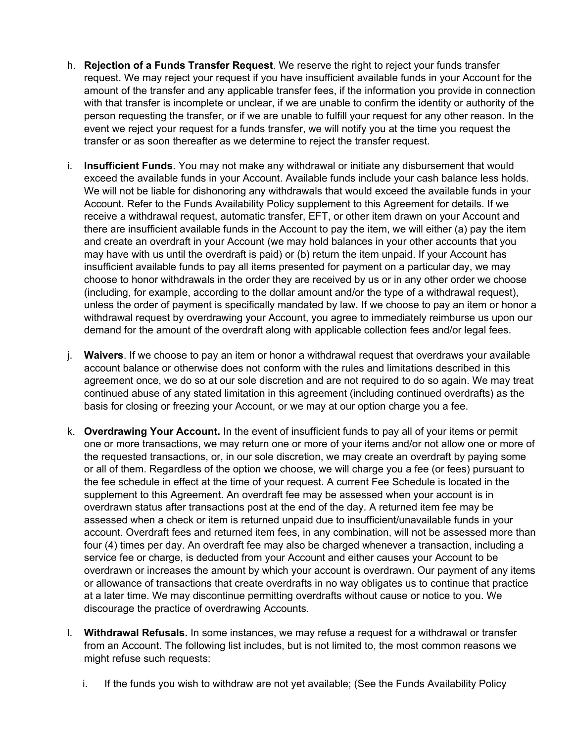- h. **Rejection of a Funds Transfer Request**. We reserve the right to reject your funds transfer request. We may reject your request if you have insufficient available funds in your Account for the amount of the transfer and any applicable transfer fees, if the information you provide in connection with that transfer is incomplete or unclear, if we are unable to confirm the identity or authority of the person requesting the transfer, or if we are unable to fulfill your request for any other reason. In the event we reject your request for a funds transfer, we will notify you at the time you request the transfer or as soon thereafter as we determine to reject the transfer request.
- i. **Insufficient Funds**. You may not make any withdrawal or initiate any disbursement that would exceed the available funds in your Account. Available funds include your cash balance less holds. We will not be liable for dishonoring any withdrawals that would exceed the available funds in your Account. Refer to the Funds Availability Policy supplement to this Agreement for details. If we receive a withdrawal request, automatic transfer, EFT, or other item drawn on your Account and there are insufficient available funds in the Account to pay the item, we will either (a) pay the item and create an overdraft in your Account (we may hold balances in your other accounts that you may have with us until the overdraft is paid) or (b) return the item unpaid. If your Account has insufficient available funds to pay all items presented for payment on a particular day, we may choose to honor withdrawals in the order they are received by us or in any other order we choose (including, for example, according to the dollar amount and/or the type of a withdrawal request), unless the order of payment is specifically mandated by law. If we choose to pay an item or honor a withdrawal request by overdrawing your Account, you agree to immediately reimburse us upon our demand for the amount of the overdraft along with applicable collection fees and/or legal fees.
- j. **Waivers**. If we choose to pay an item or honor a withdrawal request that overdraws your available account balance or otherwise does not conform with the rules and limitations described in this agreement once, we do so at our sole discretion and are not required to do so again. We may treat continued abuse of any stated limitation in this agreement (including continued overdrafts) as the basis for closing or freezing your Account, or we may at our option charge you a fee.
- k. **Overdrawing Your Account.** In the event of insufficient funds to pay all of your items or permit one or more transactions, we may return one or more of your items and/or not allow one or more of the requested transactions, or, in our sole discretion, we may create an overdraft by paying some or all of them. Regardless of the option we choose, we will charge you a fee (or fees) pursuant to the fee schedule in effect at the time of your request. A current Fee Schedule is located in the supplement to this Agreement. An overdraft fee may be assessed when your account is in overdrawn status after transactions post at the end of the day. A returned item fee may be assessed when a check or item is returned unpaid due to insufficient/unavailable funds in your account. Overdraft fees and returned item fees, in any combination, will not be assessed more than four (4) times per day. An overdraft fee may also be charged whenever a transaction, including a service fee or charge, is deducted from your Account and either causes your Account to be overdrawn or increases the amount by which your account is overdrawn. Our payment of any items or allowance of transactions that create overdrafts in no way obligates us to continue that practice at a later time. We may discontinue permitting overdrafts without cause or notice to you. We discourage the practice of overdrawing Accounts.
- l. **Withdrawal Refusals.** In some instances, we may refuse a request for a withdrawal or transfer from an Account. The following list includes, but is not limited to, the most common reasons we might refuse such requests:
	- i. If the funds you wish to withdraw are not yet available; (See the Funds Availability Policy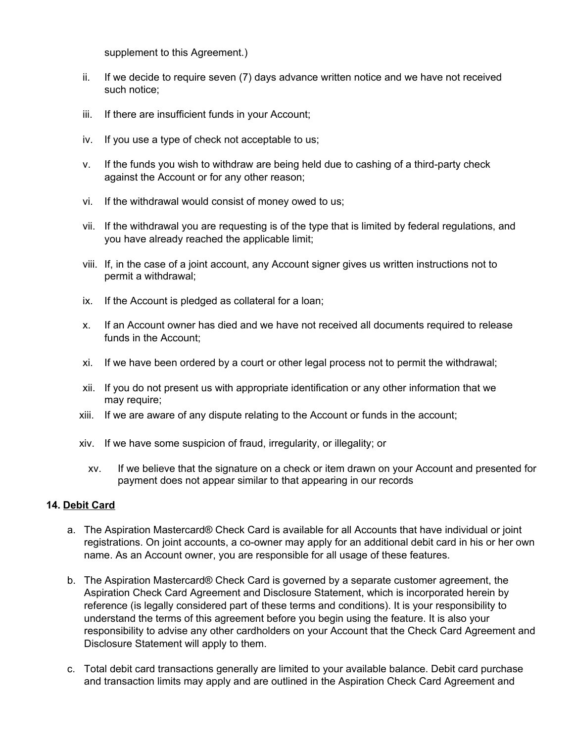supplement to this Agreement.)

- ii. If we decide to require seven (7) days advance written notice and we have not received such notice;
- iii. If there are insufficient funds in your Account;
- iv. If you use a type of check not acceptable to us;
- v. If the funds you wish to withdraw are being held due to cashing of a third-party check against the Account or for any other reason;
- vi. If the withdrawal would consist of money owed to us;
- vii. If the withdrawal you are requesting is of the type that is limited by federal regulations, and you have already reached the applicable limit;
- viii. If, in the case of a joint account, any Account signer gives us written instructions not to permit a withdrawal;
- ix. If the Account is pledged as collateral for a loan;
- x. If an Account owner has died and we have not received all documents required to release funds in the Account;
- xi. If we have been ordered by a court or other legal process not to permit the withdrawal;
- xii. If you do not present us with appropriate identification or any other information that we may require;
- xiii. If we are aware of any dispute relating to the Account or funds in the account;
- xiv. If we have some suspicion of fraud, irregularity, or illegality; or
	- xv. If we believe that the signature on a check or item drawn on your Account and presented for payment does not appear similar to that appearing in our records

### **14. Debit Card**

- a. The Aspiration Mastercard® Check Card is available for all Accounts that have individual or joint registrations. On joint accounts, a co-owner may apply for an additional debit card in his or her own name. As an Account owner, you are responsible for all usage of these features.
- b. The Aspiration Mastercard® Check Card is governed by a separate customer agreement, the Aspiration Check Card Agreement and Disclosure Statement, which is incorporated herein by reference (is legally considered part of these terms and conditions). It is your responsibility to understand the terms of this agreement before you begin using the feature. It is also your responsibility to advise any other cardholders on your Account that the Check Card Agreement and Disclosure Statement will apply to them.
- c. Total debit card transactions generally are limited to your available balance. Debit card purchase and transaction limits may apply and are outlined in the Aspiration Check Card Agreement and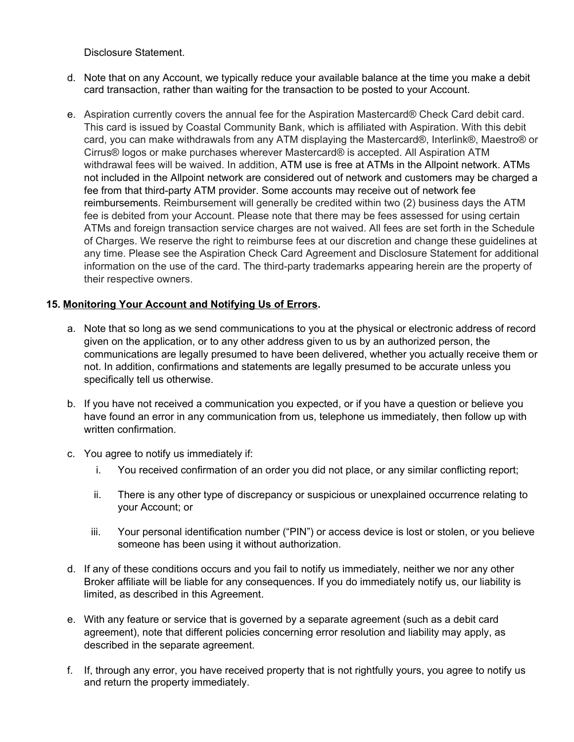Disclosure Statement.

- d. Note that on any Account, we typically reduce your available balance at the time you make a debit card transaction, rather than waiting for the transaction to be posted to your Account.
- e. Aspiration currently covers the annual fee for the Aspiration Mastercard® Check Card debit card. This card is issued by Coastal Community Bank, which is affiliated with Aspiration. With this debit card, you can make withdrawals from any ATM displaying the Mastercard®, Interlink®, Maestro® or Cirrus® logos or make purchases wherever Mastercard® is accepted. All Aspiration ATM withdrawal fees will be waived. In addition, ATM use is free at ATMs in the Allpoint network. ATMs not included in the Allpoint network are considered out of network and customers may be charged a fee from that third-party ATM provider. Some accounts may receive out of network fee reimbursements. Reimbursement will generally be credited within two (2) business days the ATM fee is debited from your Account. Please note that there may be fees assessed for using certain ATMs and foreign transaction service charges are not waived. All fees are set forth in the Schedule of Charges. We reserve the right to reimburse fees at our discretion and change these guidelines at any time. Please see the Aspiration Check Card Agreement and Disclosure Statement for additional information on the use of the card. The third-party trademarks appearing herein are the property of their respective owners.

### **15. Monitoring Your Account and Notifying Us of Errors.**

- a. Note that so long as we send communications to you at the physical or electronic address of record given on the application, or to any other address given to us by an authorized person, the communications are legally presumed to have been delivered, whether you actually receive them or not. In addition, confirmations and statements are legally presumed to be accurate unless you specifically tell us otherwise.
- b. If you have not received a communication you expected, or if you have a question or believe you have found an error in any communication from us, telephone us immediately, then follow up with written confirmation.
- c. You agree to notify us immediately if:
	- i. You received confirmation of an order you did not place, or any similar conflicting report;
	- ii. There is any other type of discrepancy or suspicious or unexplained occurrence relating to your Account; or
	- iii. Your personal identification number ("PIN") or access device is lost or stolen, or you believe someone has been using it without authorization.
- d. If any of these conditions occurs and you fail to notify us immediately, neither we nor any other Broker affiliate will be liable for any consequences. If you do immediately notify us, our liability is limited, as described in this Agreement.
- e. With any feature or service that is governed by a separate agreement (such as a debit card agreement), note that different policies concerning error resolution and liability may apply, as described in the separate agreement.
- f. If, through any error, you have received property that is not rightfully yours, you agree to notify us and return the property immediately.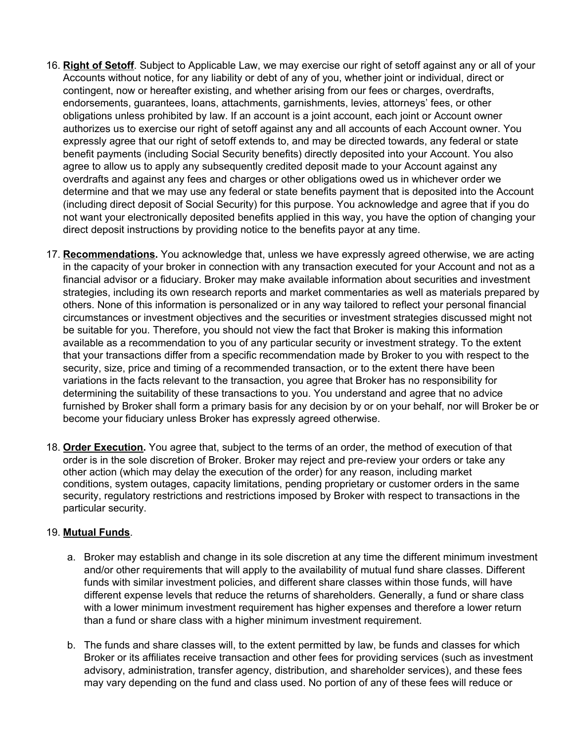- 16. **Right of Setoff**. Subject to Applicable Law, we may exercise our right of setoff against any or all of your Accounts without notice, for any liability or debt of any of you, whether joint or individual, direct or contingent, now or hereafter existing, and whether arising from our fees or charges, overdrafts, endorsements, guarantees, loans, attachments, garnishments, levies, attorneys' fees, or other obligations unless prohibited by law. If an account is a joint account, each joint or Account owner authorizes us to exercise our right of setoff against any and all accounts of each Account owner. You expressly agree that our right of setoff extends to, and may be directed towards, any federal or state benefit payments (including Social Security benefits) directly deposited into your Account. You also agree to allow us to apply any subsequently credited deposit made to your Account against any overdrafts and against any fees and charges or other obligations owed us in whichever order we determine and that we may use any federal or state benefits payment that is deposited into the Account (including direct deposit of Social Security) for this purpose. You acknowledge and agree that if you do not want your electronically deposited benefits applied in this way, you have the option of changing your direct deposit instructions by providing notice to the benefits payor at any time.
- 17. **Recommendations.** You acknowledge that, unless we have expressly agreed otherwise, we are acting in the capacity of your broker in connection with any transaction executed for your Account and not as a financial advisor or a fiduciary. Broker may make available information about securities and investment strategies, including its own research reports and market commentaries as well as materials prepared by others. None of this information is personalized or in any way tailored to reflect your personal financial circumstances or investment objectives and the securities or investment strategies discussed might not be suitable for you. Therefore, you should not view the fact that Broker is making this information available as a recommendation to you of any particular security or investment strategy. To the extent that your transactions differ from a specific recommendation made by Broker to you with respect to the security, size, price and timing of a recommended transaction, or to the extent there have been variations in the facts relevant to the transaction, you agree that Broker has no responsibility for determining the suitability of these transactions to you. You understand and agree that no advice furnished by Broker shall form a primary basis for any decision by or on your behalf, nor will Broker be or become your fiduciary unless Broker has expressly agreed otherwise.
- 18. **Order Execution.** You agree that, subject to the terms of an order, the method of execution of that order is in the sole discretion of Broker. Broker may reject and pre-review your orders or take any other action (which may delay the execution of the order) for any reason, including market conditions, system outages, capacity limitations, pending proprietary or customer orders in the same security, regulatory restrictions and restrictions imposed by Broker with respect to transactions in the particular security.

### 19. **Mutual Funds**.

- a. Broker may establish and change in its sole discretion at any time the different minimum investment and/or other requirements that will apply to the availability of mutual fund share classes. Different funds with similar investment policies, and different share classes within those funds, will have different expense levels that reduce the returns of shareholders. Generally, a fund or share class with a lower minimum investment requirement has higher expenses and therefore a lower return than a fund or share class with a higher minimum investment requirement.
- b. The funds and share classes will, to the extent permitted by law, be funds and classes for which Broker or its affiliates receive transaction and other fees for providing services (such as investment advisory, administration, transfer agency, distribution, and shareholder services), and these fees may vary depending on the fund and class used. No portion of any of these fees will reduce or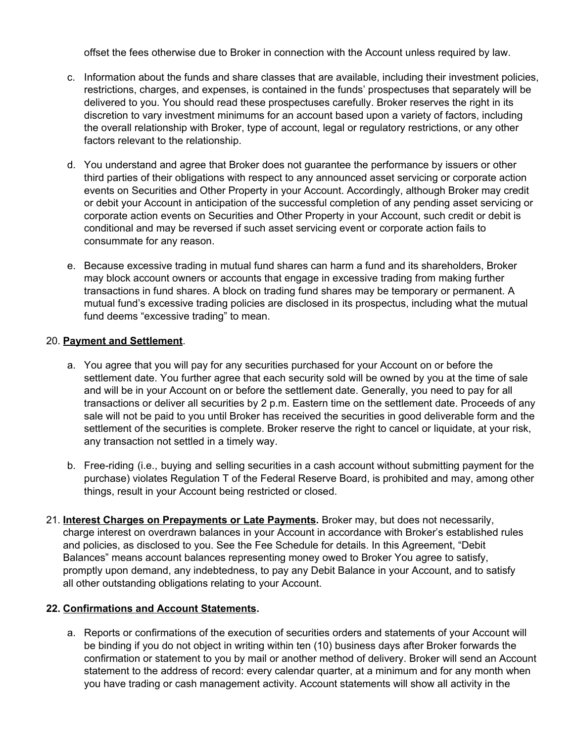offset the fees otherwise due to Broker in connection with the Account unless required by law.

- c. Information about the funds and share classes that are available, including their investment policies, restrictions, charges, and expenses, is contained in the funds' prospectuses that separately will be delivered to you. You should read these prospectuses carefully. Broker reserves the right in its discretion to vary investment minimums for an account based upon a variety of factors, including the overall relationship with Broker, type of account, legal or regulatory restrictions, or any other factors relevant to the relationship.
- d. You understand and agree that Broker does not guarantee the performance by issuers or other third parties of their obligations with respect to any announced asset servicing or corporate action events on Securities and Other Property in your Account. Accordingly, although Broker may credit or debit your Account in anticipation of the successful completion of any pending asset servicing or corporate action events on Securities and Other Property in your Account, such credit or debit is conditional and may be reversed if such asset servicing event or corporate action fails to consummate for any reason.
- e. Because excessive trading in mutual fund shares can harm a fund and its shareholders, Broker may block account owners or accounts that engage in excessive trading from making further transactions in fund shares. A block on trading fund shares may be temporary or permanent. A mutual fund's excessive trading policies are disclosed in its prospectus, including what the mutual fund deems "excessive trading" to mean.

#### 20. **Payment and Settlement**.

- a. You agree that you will pay for any securities purchased for your Account on or before the settlement date. You further agree that each security sold will be owned by you at the time of sale and will be in your Account on or before the settlement date. Generally, you need to pay for all transactions or deliver all securities by 2 p.m. Eastern time on the settlement date. Proceeds of any sale will not be paid to you until Broker has received the securities in good deliverable form and the settlement of the securities is complete. Broker reserve the right to cancel or liquidate, at your risk, any transaction not settled in a timely way.
- b. Free-riding (i.e., buying and selling securities in a cash account without submitting payment for the purchase) violates Regulation T of the Federal Reserve Board, is prohibited and may, among other things, result in your Account being restricted or closed.
- 21. **Interest Charges on Prepayments or Late Payments.** Broker may, but does not necessarily, charge interest on overdrawn balances in your Account in accordance with Broker's established rules and policies, as disclosed to you. See the Fee Schedule for details. In this Agreement, "Debit Balances" means account balances representing money owed to Broker You agree to satisfy, promptly upon demand, any indebtedness, to pay any Debit Balance in your Account, and to satisfy all other outstanding obligations relating to your Account.

### **22. Confirmations and Account Statements.**

a. Reports or confirmations of the execution of securities orders and statements of your Account will be binding if you do not object in writing within ten (10) business days after Broker forwards the confirmation or statement to you by mail or another method of delivery. Broker will send an Account statement to the address of record: every calendar quarter, at a minimum and for any month when you have trading or cash management activity. Account statements will show all activity in the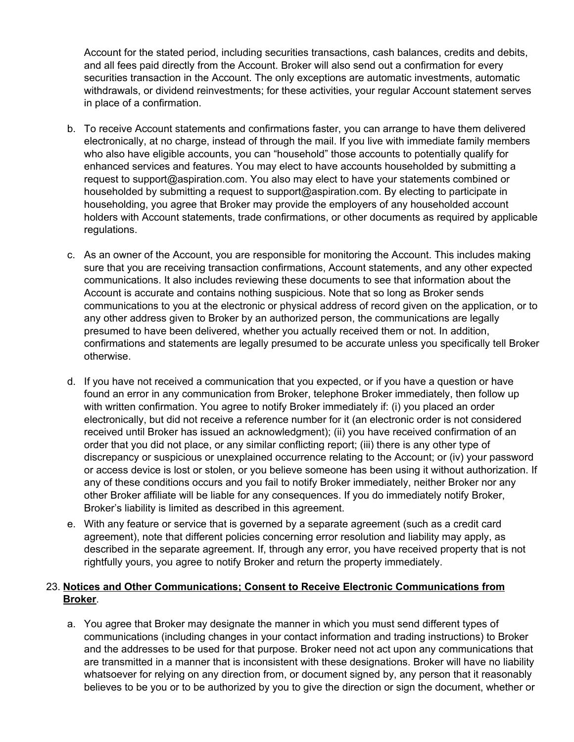Account for the stated period, including securities transactions, cash balances, credits and debits, and all fees paid directly from the Account. Broker will also send out a confirmation for every securities transaction in the Account. The only exceptions are automatic investments, automatic withdrawals, or dividend reinvestments; for these activities, your regular Account statement serves in place of a confirmation.

- b. To receive Account statements and confirmations faster, you can arrange to have them delivered electronically, at no charge, instead of through the mail. If you live with immediate family members who also have eligible accounts, you can "household" those accounts to potentially qualify for enhanced services and features. You may elect to have accounts householded by submitting a request to [support@aspiration.com.](mailto:support@aspiration.com) You also may elect to have your statements combined or householded by submitting a request to [support@aspiration.com.](mailto:support@aspiration.com) By electing to participate in householding, you agree that Broker may provide the employers of any householded account holders with Account statements, trade confirmations, or other documents as required by applicable regulations.
- c. As an owner of the Account, you are responsible for monitoring the Account. This includes making sure that you are receiving transaction confirmations, Account statements, and any other expected communications. It also includes reviewing these documents to see that information about the Account is accurate and contains nothing suspicious. Note that so long as Broker sends communications to you at the electronic or physical address of record given on the application, or to any other address given to Broker by an authorized person, the communications are legally presumed to have been delivered, whether you actually received them or not. In addition, confirmations and statements are legally presumed to be accurate unless you specifically tell Broker otherwise.
- d. If you have not received a communication that you expected, or if you have a question or have found an error in any communication from Broker, telephone Broker immediately, then follow up with written confirmation. You agree to notify Broker immediately if: (i) you placed an order electronically, but did not receive a reference number for it (an electronic order is not considered received until Broker has issued an acknowledgment); (ii) you have received confirmation of an order that you did not place, or any similar conflicting report; (iii) there is any other type of discrepancy or suspicious or unexplained occurrence relating to the Account; or (iv) your password or access device is lost or stolen, or you believe someone has been using it without authorization. If any of these conditions occurs and you fail to notify Broker immediately, neither Broker nor any other Broker affiliate will be liable for any consequences. If you do immediately notify Broker, Broker's liability is limited as described in this agreement.
- e. With any feature or service that is governed by a separate agreement (such as a credit card agreement), note that different policies concerning error resolution and liability may apply, as described in the separate agreement. If, through any error, you have received property that is not rightfully yours, you agree to notify Broker and return the property immediately.

## 23. **Notices and Other Communications; Consent to Receive Electronic Communications from Broker**.

a. You agree that Broker may designate the manner in which you must send different types of communications (including changes in your contact information and trading instructions) to Broker and the addresses to be used for that purpose. Broker need not act upon any communications that are transmitted in a manner that is inconsistent with these designations. Broker will have no liability whatsoever for relying on any direction from, or document signed by, any person that it reasonably believes to be you or to be authorized by you to give the direction or sign the document, whether or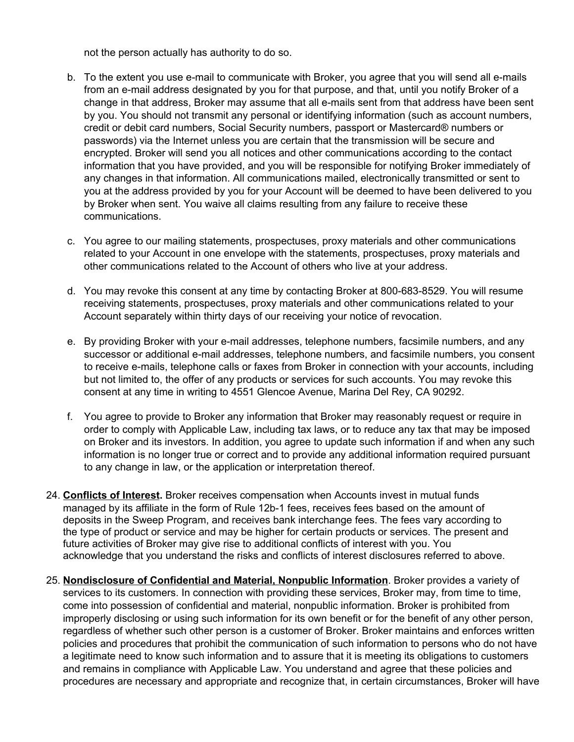not the person actually has authority to do so.

- b. To the extent you use e-mail to communicate with Broker, you agree that you will send all e-mails from an e-mail address designated by you for that purpose, and that, until you notify Broker of a change in that address, Broker may assume that all e-mails sent from that address have been sent by you. You should not transmit any personal or identifying information (such as account numbers, credit or debit card numbers, Social Security numbers, passport or Mastercard® numbers or passwords) via the Internet unless you are certain that the transmission will be secure and encrypted. Broker will send you all notices and other communications according to the contact information that you have provided, and you will be responsible for notifying Broker immediately of any changes in that information. All communications mailed, electronically transmitted or sent to you at the address provided by you for your Account will be deemed to have been delivered to you by Broker when sent. You waive all claims resulting from any failure to receive these communications.
- c. You agree to our mailing statements, prospectuses, proxy materials and other communications related to your Account in one envelope with the statements, prospectuses, proxy materials and other communications related to the Account of others who live at your address.
- d. You may revoke this consent at any time by contacting Broker at 800-683-8529. You will resume receiving statements, prospectuses, proxy materials and other communications related to your Account separately within thirty days of our receiving your notice of revocation.
- e. By providing Broker with your e-mail addresses, telephone numbers, facsimile numbers, and any successor or additional e-mail addresses, telephone numbers, and facsimile numbers, you consent to receive e-mails, telephone calls or faxes from Broker in connection with your accounts, including but not limited to, the offer of any products or services for such accounts. You may revoke this consent at any time in writing to 4551 Glencoe Avenue, Marina Del Rey, CA 90292.
- f. You agree to provide to Broker any information that Broker may reasonably request or require in order to comply with Applicable Law, including tax laws, or to reduce any tax that may be imposed on Broker and its investors. In addition, you agree to update such information if and when any such information is no longer true or correct and to provide any additional information required pursuant to any change in law, or the application or interpretation thereof.
- 24. **Conflicts of Interest.** Broker receives compensation when Accounts invest in mutual funds managed by its affiliate in the form of Rule 12b-1 fees, receives fees based on the amount of deposits in the Sweep Program, and receives bank interchange fees. The fees vary according to the type of product or service and may be higher for certain products or services. The present and future activities of Broker may give rise to additional conflicts of interest with you. You acknowledge that you understand the risks and conflicts of interest disclosures referred to above.
- 25. **Nondisclosure of Confidential and Material, Nonpublic Information**. Broker provides a variety of services to its customers. In connection with providing these services, Broker may, from time to time, come into possession of confidential and material, nonpublic information. Broker is prohibited from improperly disclosing or using such information for its own benefit or for the benefit of any other person, regardless of whether such other person is a customer of Broker. Broker maintains and enforces written policies and procedures that prohibit the communication of such information to persons who do not have a legitimate need to know such information and to assure that it is meeting its obligations to customers and remains in compliance with Applicable Law. You understand and agree that these policies and procedures are necessary and appropriate and recognize that, in certain circumstances, Broker will have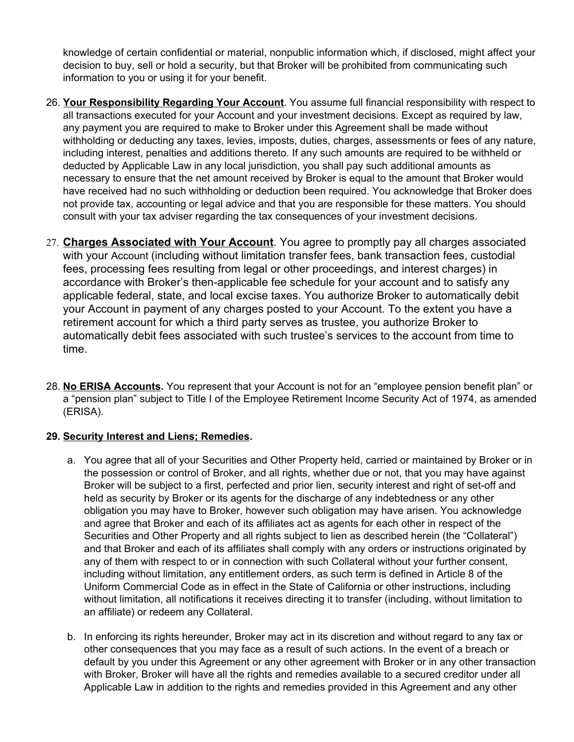knowledge of certain confidential or material, nonpublic information which, if disclosed, might affect your decision to buy, sell or hold a security, but that Broker will be prohibited from communicating such information to you or using it for your benefit.

- 26. **Your Responsibility Regarding Your Account**. You assume full financial responsibility with respect to all transactions executed for your Account and your investment decisions. Except as required by law, any payment you are required to make to Broker under this Agreement shall be made without withholding or deducting any taxes, levies, imposts, duties, charges, assessments or fees of any nature, including interest, penalties and additions thereto. If any such amounts are required to be withheld or deducted by Applicable Law in any local jurisdiction, you shall pay such additional amounts as necessary to ensure that the net amount received by Broker is equal to the amount that Broker would have received had no such withholding or deduction been required. You acknowledge that Broker does not provide tax, accounting or legal advice and that you are responsible for these matters. You should consult with your tax adviser regarding the tax consequences of your investment decisions.
- 27. **Charges Associated with Your Account**. You agree to promptly pay all charges associated with your Account (including without limitation transfer fees, bank transaction fees, custodial fees, processing fees resulting from legal or other proceedings, and interest charges) in accordance with Broker's then-applicable fee schedule for your account and to satisfy any applicable federal, state, and local excise taxes. You authorize Broker to automatically debit your Account in payment of any charges posted to your Account. To the extent you have a retirement account for which a third party serves as trustee, you authorize Broker to automatically debit fees associated with such trustee's services to the account from time to time.
- 28. **No ERISA Accounts.** You represent that your Account is not for an "employee pension benefit plan" or a "pension plan" subject to Title I of the Employee Retirement Income Security Act of 1974, as amended (ERISA).

## **29. Security Interest and Liens; Remedies.**

- a. You agree that all of your Securities and Other Property held, carried or maintained by Broker or in the possession or control of Broker, and all rights, whether due or not, that you may have against Broker will be subject to a first, perfected and prior lien, security interest and right of set-off and held as security by Broker or its agents for the discharge of any indebtedness or any other obligation you may have to Broker, however such obligation may have arisen. You acknowledge and agree that Broker and each of its affiliates act as agents for each other in respect of the Securities and Other Property and all rights subject to lien as described herein (the "Collateral") and that Broker and each of its affiliates shall comply with any orders or instructions originated by any of them with respect to or in connection with such Collateral without your further consent, including without limitation, any entitlement orders, as such term is defined in Article 8 of the Uniform Commercial Code as in effect in the State of California or other instructions, including without limitation, all notifications it receives directing it to transfer (including, without limitation to an affiliate) or redeem any Collateral.
- b. In enforcing its rights hereunder, Broker may act in its discretion and without regard to any tax or other consequences that you may face as a result of such actions. In the event of a breach or default by you under this Agreement or any other agreement with Broker or in any other transaction with Broker, Broker will have all the rights and remedies available to a secured creditor under all Applicable Law in addition to the rights and remedies provided in this Agreement and any other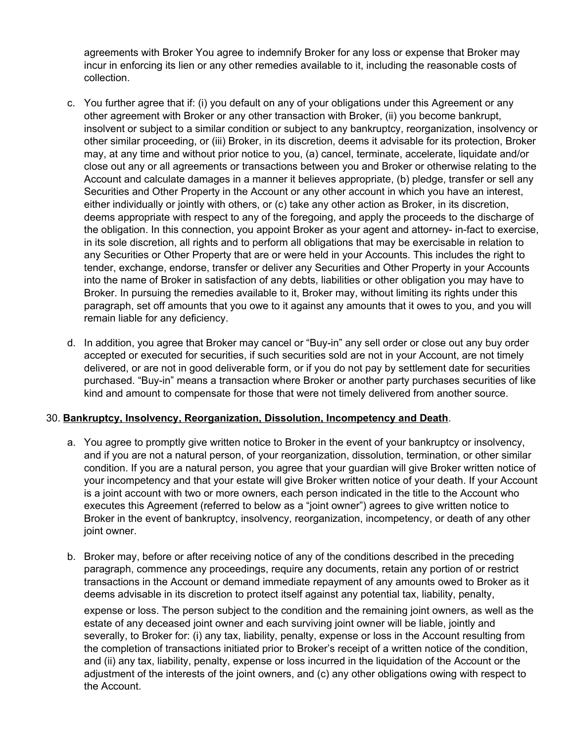agreements with Broker You agree to indemnify Broker for any loss or expense that Broker may incur in enforcing its lien or any other remedies available to it, including the reasonable costs of collection.

- c. You further agree that if: (i) you default on any of your obligations under this Agreement or any other agreement with Broker or any other transaction with Broker, (ii) you become bankrupt, insolvent or subject to a similar condition or subject to any bankruptcy, reorganization, insolvency or other similar proceeding, or (iii) Broker, in its discretion, deems it advisable for its protection, Broker may, at any time and without prior notice to you, (a) cancel, terminate, accelerate, liquidate and/or close out any or all agreements or transactions between you and Broker or otherwise relating to the Account and calculate damages in a manner it believes appropriate, (b) pledge, transfer or sell any Securities and Other Property in the Account or any other account in which you have an interest, either individually or jointly with others, or (c) take any other action as Broker, in its discretion, deems appropriate with respect to any of the foregoing, and apply the proceeds to the discharge of the obligation. In this connection, you appoint Broker as your agent and attorney- in-fact to exercise, in its sole discretion, all rights and to perform all obligations that may be exercisable in relation to any Securities or Other Property that are or were held in your Accounts. This includes the right to tender, exchange, endorse, transfer or deliver any Securities and Other Property in your Accounts into the name of Broker in satisfaction of any debts, liabilities or other obligation you may have to Broker. In pursuing the remedies available to it, Broker may, without limiting its rights under this paragraph, set off amounts that you owe to it against any amounts that it owes to you, and you will remain liable for any deficiency.
- d. In addition, you agree that Broker may cancel or "Buy-in" any sell order or close out any buy order accepted or executed for securities, if such securities sold are not in your Account, are not timely delivered, or are not in good deliverable form, or if you do not pay by settlement date for securities purchased. "Buy-in" means a transaction where Broker or another party purchases securities of like kind and amount to compensate for those that were not timely delivered from another source.

### 30. **Bankruptcy, Insolvency, Reorganization, Dissolution, Incompetency and Death**.

- a. You agree to promptly give written notice to Broker in the event of your bankruptcy or insolvency, and if you are not a natural person, of your reorganization, dissolution, termination, or other similar condition. If you are a natural person, you agree that your guardian will give Broker written notice of your incompetency and that your estate will give Broker written notice of your death. If your Account is a joint account with two or more owners, each person indicated in the title to the Account who executes this Agreement (referred to below as a "joint owner") agrees to give written notice to Broker in the event of bankruptcy, insolvency, reorganization, incompetency, or death of any other joint owner.
- b. Broker may, before or after receiving notice of any of the conditions described in the preceding paragraph, commence any proceedings, require any documents, retain any portion of or restrict transactions in the Account or demand immediate repayment of any amounts owed to Broker as it deems advisable in its discretion to protect itself against any potential tax, liability, penalty,

expense or loss. The person subject to the condition and the remaining joint owners, as well as the estate of any deceased joint owner and each surviving joint owner will be liable, jointly and severally, to Broker for: (i) any tax, liability, penalty, expense or loss in the Account resulting from the completion of transactions initiated prior to Broker's receipt of a written notice of the condition, and (ii) any tax, liability, penalty, expense or loss incurred in the liquidation of the Account or the adjustment of the interests of the joint owners, and (c) any other obligations owing with respect to the Account.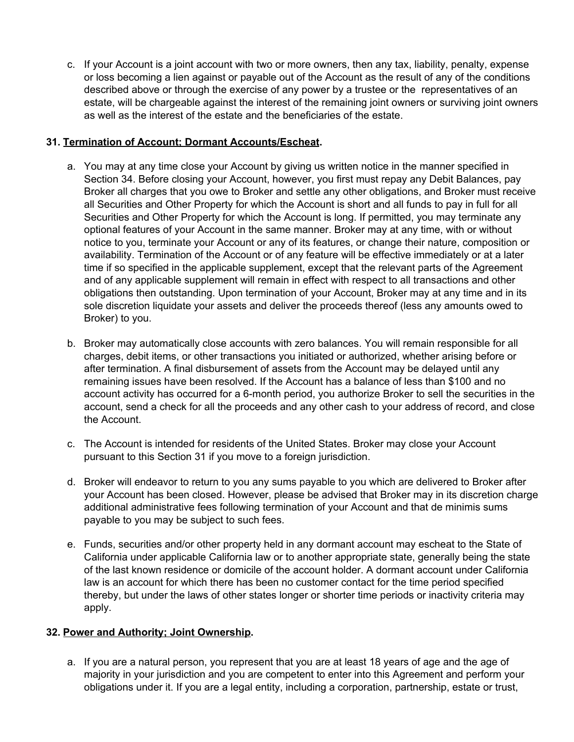c. If your Account is a joint account with two or more owners, then any tax, liability, penalty, expense or loss becoming a lien against or payable out of the Account as the result of any of the conditions described above or through the exercise of any power by a trustee or the representatives of an estate, will be chargeable against the interest of the remaining joint owners or surviving joint owners as well as the interest of the estate and the beneficiaries of the estate.

## **31. Termination of Account; Dormant Accounts/Escheat.**

- a. You may at any time close your Account by giving us written notice in the manner specified in Section 34. Before closing your Account, however, you first must repay any Debit Balances, pay Broker all charges that you owe to Broker and settle any other obligations, and Broker must receive all Securities and Other Property for which the Account is short and all funds to pay in full for all Securities and Other Property for which the Account is long. If permitted, you may terminate any optional features of your Account in the same manner. Broker may at any time, with or without notice to you, terminate your Account or any of its features, or change their nature, composition or availability. Termination of the Account or of any feature will be effective immediately or at a later time if so specified in the applicable supplement, except that the relevant parts of the Agreement and of any applicable supplement will remain in effect with respect to all transactions and other obligations then outstanding. Upon termination of your Account, Broker may at any time and in its sole discretion liquidate your assets and deliver the proceeds thereof (less any amounts owed to Broker) to you.
- b. Broker may automatically close accounts with zero balances. You will remain responsible for all charges, debit items, or other transactions you initiated or authorized, whether arising before or after termination. A final disbursement of assets from the Account may be delayed until any remaining issues have been resolved. If the Account has a balance of less than \$100 and no account activity has occurred for a 6-month period, you authorize Broker to sell the securities in the account, send a check for all the proceeds and any other cash to your address of record, and close the Account.
- c. The Account is intended for residents of the United States. Broker may close your Account pursuant to this Section 31 if you move to a foreign jurisdiction.
- d. Broker will endeavor to return to you any sums payable to you which are delivered to Broker after your Account has been closed. However, please be advised that Broker may in its discretion charge additional administrative fees following termination of your Account and that de minimis sums payable to you may be subject to such fees.
- e. Funds, securities and/or other property held in any dormant account may escheat to the State of California under applicable California law or to another appropriate state, generally being the state of the last known residence or domicile of the account holder. A dormant account under California law is an account for which there has been no customer contact for the time period specified thereby, but under the laws of other states longer or shorter time periods or inactivity criteria may apply.

## **32. Power and Authority; Joint Ownership.**

a. If you are a natural person, you represent that you are at least 18 years of age and the age of majority in your jurisdiction and you are competent to enter into this Agreement and perform your obligations under it. If you are a legal entity, including a corporation, partnership, estate or trust,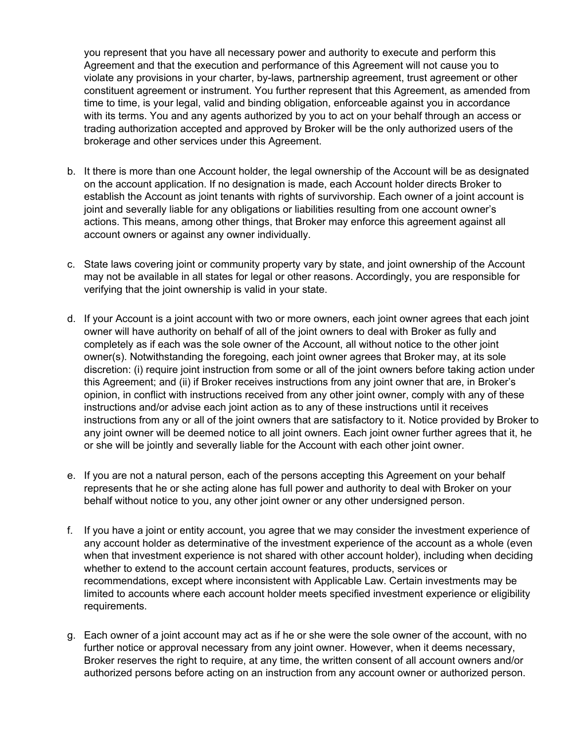you represent that you have all necessary power and authority to execute and perform this Agreement and that the execution and performance of this Agreement will not cause you to violate any provisions in your charter, by-laws, partnership agreement, trust agreement or other constituent agreement or instrument. You further represent that this Agreement, as amended from time to time, is your legal, valid and binding obligation, enforceable against you in accordance with its terms. You and any agents authorized by you to act on your behalf through an access or trading authorization accepted and approved by Broker will be the only authorized users of the brokerage and other services under this Agreement.

- b. It there is more than one Account holder, the legal ownership of the Account will be as designated on the account application. If no designation is made, each Account holder directs Broker to establish the Account as joint tenants with rights of survivorship. Each owner of a joint account is joint and severally liable for any obligations or liabilities resulting from one account owner's actions. This means, among other things, that Broker may enforce this agreement against all account owners or against any owner individually.
- c. State laws covering joint or community property vary by state, and joint ownership of the Account may not be available in all states for legal or other reasons. Accordingly, you are responsible for verifying that the joint ownership is valid in your state.
- d. If your Account is a joint account with two or more owners, each joint owner agrees that each joint owner will have authority on behalf of all of the joint owners to deal with Broker as fully and completely as if each was the sole owner of the Account, all without notice to the other joint owner(s). Notwithstanding the foregoing, each joint owner agrees that Broker may, at its sole discretion: (i) require joint instruction from some or all of the joint owners before taking action under this Agreement; and (ii) if Broker receives instructions from any joint owner that are, in Broker's opinion, in conflict with instructions received from any other joint owner, comply with any of these instructions and/or advise each joint action as to any of these instructions until it receives instructions from any or all of the joint owners that are satisfactory to it. Notice provided by Broker to any joint owner will be deemed notice to all joint owners. Each joint owner further agrees that it, he or she will be jointly and severally liable for the Account with each other joint owner.
- e. If you are not a natural person, each of the persons accepting this Agreement on your behalf represents that he or she acting alone has full power and authority to deal with Broker on your behalf without notice to you, any other joint owner or any other undersigned person.
- f. If you have a joint or entity account, you agree that we may consider the investment experience of any account holder as determinative of the investment experience of the account as a whole (even when that investment experience is not shared with other account holder), including when deciding whether to extend to the account certain account features, products, services or recommendations, except where inconsistent with Applicable Law. Certain investments may be limited to accounts where each account holder meets specified investment experience or eligibility requirements.
- g. Each owner of a joint account may act as if he or she were the sole owner of the account, with no further notice or approval necessary from any joint owner. However, when it deems necessary, Broker reserves the right to require, at any time, the written consent of all account owners and/or authorized persons before acting on an instruction from any account owner or authorized person.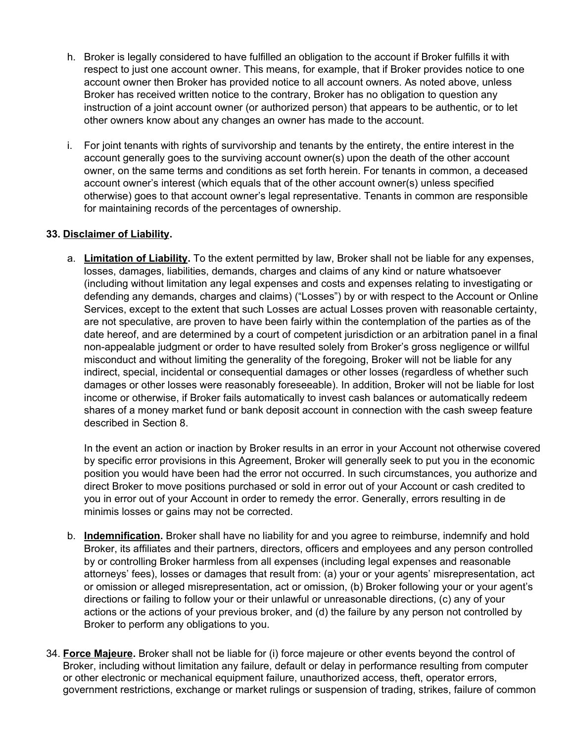- h. Broker is legally considered to have fulfilled an obligation to the account if Broker fulfills it with respect to just one account owner. This means, for example, that if Broker provides notice to one account owner then Broker has provided notice to all account owners. As noted above, unless Broker has received written notice to the contrary, Broker has no obligation to question any instruction of a joint account owner (or authorized person) that appears to be authentic, or to let other owners know about any changes an owner has made to the account.
- i. For joint tenants with rights of survivorship and tenants by the entirety, the entire interest in the account generally goes to the surviving account owner(s) upon the death of the other account owner, on the same terms and conditions as set forth herein. For tenants in common, a deceased account owner's interest (which equals that of the other account owner(s) unless specified otherwise) goes to that account owner's legal representative. Tenants in common are responsible for maintaining records of the percentages of ownership.

## **33. Disclaimer of Liability.**

a. **Limitation of Liability.** To the extent permitted by law, Broker shall not be liable for any expenses, losses, damages, liabilities, demands, charges and claims of any kind or nature whatsoever (including without limitation any legal expenses and costs and expenses relating to investigating or defending any demands, charges and claims) ("Losses") by or with respect to the Account or Online Services, except to the extent that such Losses are actual Losses proven with reasonable certainty, are not speculative, are proven to have been fairly within the contemplation of the parties as of the date hereof, and are determined by a court of competent jurisdiction or an arbitration panel in a final non-appealable judgment or order to have resulted solely from Broker's gross negligence or willful misconduct and without limiting the generality of the foregoing, Broker will not be liable for any indirect, special, incidental or consequential damages or other losses (regardless of whether such damages or other losses were reasonably foreseeable). In addition, Broker will not be liable for lost income or otherwise, if Broker fails automatically to invest cash balances or automatically redeem shares of a money market fund or bank deposit account in connection with the cash sweep feature described in Section 8.

In the event an action or inaction by Broker results in an error in your Account not otherwise covered by specific error provisions in this Agreement, Broker will generally seek to put you in the economic position you would have been had the error not occurred. In such circumstances, you authorize and direct Broker to move positions purchased or sold in error out of your Account or cash credited to you in error out of your Account in order to remedy the error. Generally, errors resulting in de minimis losses or gains may not be corrected.

- b. **Indemnification.** Broker shall have no liability for and you agree to reimburse, indemnify and hold Broker, its affiliates and their partners, directors, officers and employees and any person controlled by or controlling Broker harmless from all expenses (including legal expenses and reasonable attorneys' fees), losses or damages that result from: (a) your or your agents' misrepresentation, act or omission or alleged misrepresentation, act or omission, (b) Broker following your or your agent's directions or failing to follow your or their unlawful or unreasonable directions, (c) any of your actions or the actions of your previous broker, and (d) the failure by any person not controlled by Broker to perform any obligations to you.
- 34. **Force Majeure.** Broker shall not be liable for (i) force majeure or other events beyond the control of Broker, including without limitation any failure, default or delay in performance resulting from computer or other electronic or mechanical equipment failure, unauthorized access, theft, operator errors, government restrictions, exchange or market rulings or suspension of trading, strikes, failure of common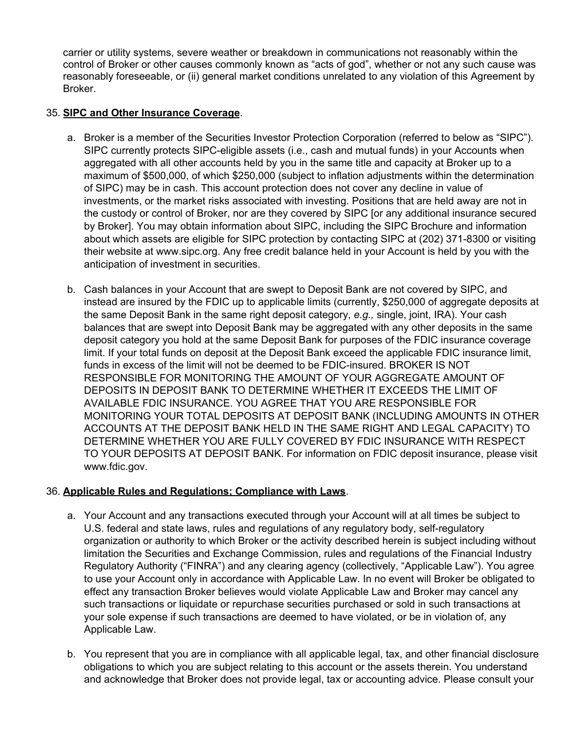carrier or utility systems, severe weather or breakdown in communications not reasonably within the control of Broker or other causes commonly known as "acts of god", whether or not any such cause was reasonably foreseeable, or (ii) general market conditions unrelated to any violation of this Agreement by Broker.

## 35. **SIPC and Other Insurance Coverage**.

- a. Broker is a member of the Securities Investor Protection Corporation (referred to below as "SIPC"). SIPC currently protects SIPC-eligible assets (i.e., cash and mutual funds) in your Accounts when aggregated with all other accounts held by you in the same title and capacity at Broker up to a maximum of \$500,000, of which \$250,000 (subject to inflation adjustments within the determination of SIPC) may be in cash. This account protection does not cover any decline in value of investments, or the market risks associated with investing. Positions that are held away are not in the custody or control of Broker, nor are they covered by SIPC [or any additional insurance secured by Broker]. You may obtain information about SIPC, including the SIPC Brochure and information about which assets are eligible for SIPC protection by contacting SIPC at (202) 371-8300 or visiting their website at [www.sipc.org.](http://www.sipc.org/) Any free credit balance held in your Account is held by you with the anticipation of investment in securities.
- b. Cash balances in your Account that are swept to Deposit Bank are not covered by SIPC, and instead are insured by the FDIC up to applicable limits (currently, \$250,000 of aggregate deposits at the same Deposit Bank in the same right deposit category, *e.g.,* single, joint, IRA). Your cash balances that are swept into Deposit Bank may be aggregated with any other deposits in the same deposit category you hold at the same Deposit Bank for purposes of the FDIC insurance coverage limit. If your total funds on deposit at the Deposit Bank exceed the applicable FDIC insurance limit, funds in excess of the limit will not be deemed to be FDIC-insured. BROKER IS NOT RESPONSIBLE FOR MONITORING THE AMOUNT OF YOUR AGGREGATE AMOUNT OF DEPOSITS IN DEPOSIT BANK TO DETERMINE WHETHER IT EXCEEDS THE LIMIT OF AVAILABLE FDIC INSURANCE. YOU AGREE THAT YOU ARE RESPONSIBLE FOR MONITORING YOUR TOTAL DEPOSITS AT DEPOSIT BANK (INCLUDING AMOUNTS IN OTHER ACCOUNTS AT THE DEPOSIT BANK HELD IN THE SAME RIGHT AND LEGAL CAPACITY) TO DETERMINE WHETHER YOU ARE FULLY COVERED BY FDIC INSURANCE WITH RESPECT TO YOUR DEPOSITS AT DEPOSIT BANK. For information on FDIC deposit insurance, please visit [www.fdic.gov.](http://www.fdic.gov/)

## 36. **Applicable Rules and Regulations; Compliance with Laws**.

- a. Your Account and any transactions executed through your Account will at all times be subject to U.S. federal and state laws, rules and regulations of any regulatory body, self-regulatory organization or authority to which Broker or the activity described herein is subject including without limitation the Securities and Exchange Commission, rules and regulations of the Financial Industry Regulatory Authority ("FINRA") and any clearing agency (collectively, "Applicable Law"). You agree to use your Account only in accordance with Applicable Law. In no event will Broker be obligated to effect any transaction Broker believes would violate Applicable Law and Broker may cancel any such transactions or liquidate or repurchase securities purchased or sold in such transactions at your sole expense if such transactions are deemed to have violated, or be in violation of, any Applicable Law.
- b. You represent that you are in compliance with all applicable legal, tax, and other financial disclosure obligations to which you are subject relating to this account or the assets therein. You understand and acknowledge that Broker does not provide legal, tax or accounting advice. Please consult your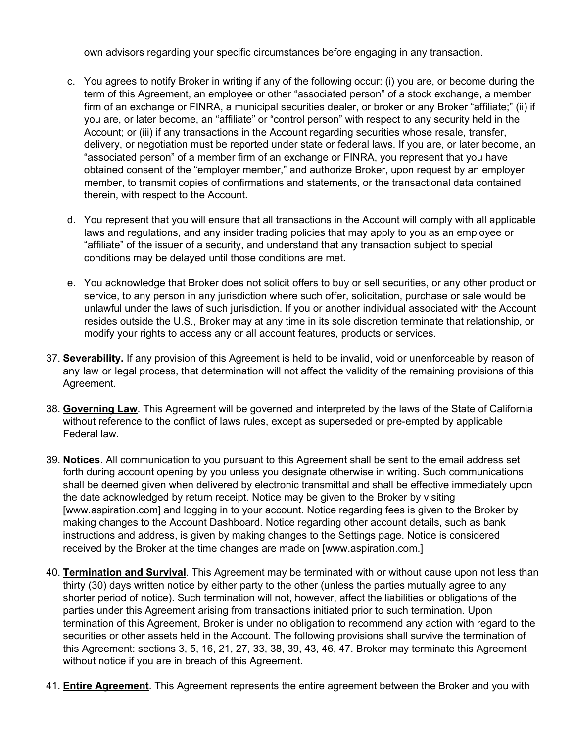own advisors regarding your specific circumstances before engaging in any transaction.

- c. You agrees to notify Broker in writing if any of the following occur: (i) you are, or become during the term of this Agreement, an employee or other "associated person" of a stock exchange, a member firm of an exchange or FINRA, a municipal securities dealer, or broker or any Broker "affiliate;" (ii) if you are, or later become, an "affiliate" or "control person" with respect to any security held in the Account; or (iii) if any transactions in the Account regarding securities whose resale, transfer, delivery, or negotiation must be reported under state or federal laws. If you are, or later become, an "associated person" of a member firm of an exchange or FINRA, you represent that you have obtained consent of the "employer member," and authorize Broker, upon request by an employer member, to transmit copies of confirmations and statements, or the transactional data contained therein, with respect to the Account.
- d. You represent that you will ensure that all transactions in the Account will comply with all applicable laws and regulations, and any insider trading policies that may apply to you as an employee or "affiliate" of the issuer of a security, and understand that any transaction subject to special conditions may be delayed until those conditions are met.
- e. You acknowledge that Broker does not solicit offers to buy or sell securities, or any other product or service, to any person in any jurisdiction where such offer, solicitation, purchase or sale would be unlawful under the laws of such jurisdiction. If you or another individual associated with the Account resides outside the U.S., Broker may at any time in its sole discretion terminate that relationship, or modify your rights to access any or all account features, products or services.
- 37. **Severability.** If any provision of this Agreement is held to be invalid, void or unenforceable by reason of any law or legal process, that determination will not affect the validity of the remaining provisions of this Agreement.
- 38. **Governing Law**. This Agreement will be governed and interpreted by the laws of the State of California without reference to the conflict of laws rules, except as superseded or pre-empted by applicable Federal law.
- 39. **Notices**. All communication to you pursuant to this Agreement shall be sent to the email address set forth during account opening by you unless you designate otherwise in writing. Such communications shall be deemed given when delivered by electronic transmittal and shall be effective immediately upon the date acknowledged by return receipt. Notice may be given to the Broker by visiting [\[www.aspiration.com\]](http://www.aspiration.com/) and logging in to your account. Notice regarding fees is given to the Broker by making changes to the Account Dashboard. Notice regarding other account details, such as bank instructions and address, is given by making changes to the Settings page. Notice is considered received by the Broker at the time changes are made on [\[www.aspiration.com.\]](http://www.aspiration.com/)
- 40. **Termination and Survival**. This Agreement may be terminated with or without cause upon not less than thirty (30) days written notice by either party to the other (unless the parties mutually agree to any shorter period of notice). Such termination will not, however, affect the liabilities or obligations of the parties under this Agreement arising from transactions initiated prior to such termination. Upon termination of this Agreement, Broker is under no obligation to recommend any action with regard to the securities or other assets held in the Account. The following provisions shall survive the termination of this Agreement: sections 3, 5, 16, 21, 27, 33, 38, 39, 43, 46, 47. Broker may terminate this Agreement without notice if you are in breach of this Agreement.
- 41. **Entire Agreement**. This Agreement represents the entire agreement between the Broker and you with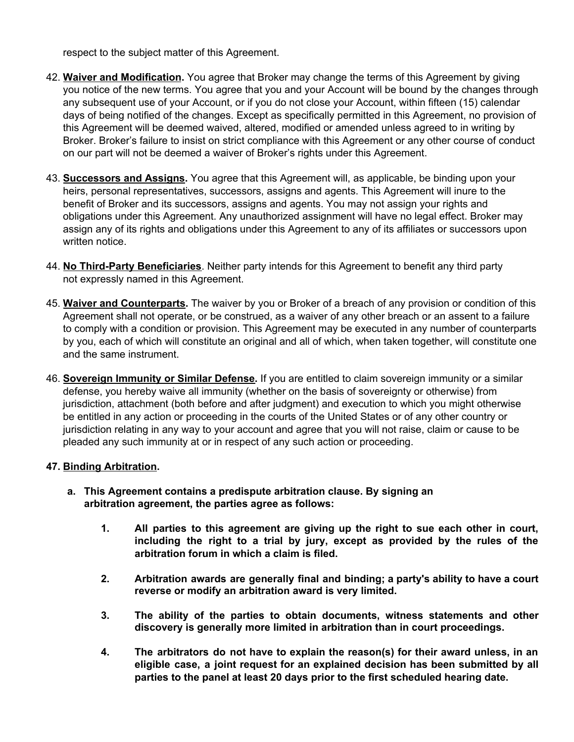respect to the subject matter of this Agreement.

- 42. **Waiver and Modification.** You agree that Broker may change the terms of this Agreement by giving you notice of the new terms. You agree that you and your Account will be bound by the changes through any subsequent use of your Account, or if you do not close your Account, within fifteen (15) calendar days of being notified of the changes. Except as specifically permitted in this Agreement, no provision of this Agreement will be deemed waived, altered, modified or amended unless agreed to in writing by Broker. Broker's failure to insist on strict compliance with this Agreement or any other course of conduct on our part will not be deemed a waiver of Broker's rights under this Agreement.
- 43. **Successors and Assigns.** You agree that this Agreement will, as applicable, be binding upon your heirs, personal representatives, successors, assigns and agents. This Agreement will inure to the benefit of Broker and its successors, assigns and agents. You may not assign your rights and obligations under this Agreement. Any unauthorized assignment will have no legal effect. Broker may assign any of its rights and obligations under this Agreement to any of its affiliates or successors upon written notice.
- 44. **No Third-Party Beneficiaries**. Neither party intends for this Agreement to benefit any third party not expressly named in this Agreement.
- 45. **Waiver and Counterparts.** The waiver by you or Broker of a breach of any provision or condition of this Agreement shall not operate, or be construed, as a waiver of any other breach or an assent to a failure to comply with a condition or provision. This Agreement may be executed in any number of counterparts by you, each of which will constitute an original and all of which, when taken together, will constitute one and the same instrument.
- 46. **Sovereign Immunity or Similar Defense.** If you are entitled to claim sovereign immunity or a similar defense, you hereby waive all immunity (whether on the basis of sovereignty or otherwise) from jurisdiction, attachment (both before and after judgment) and execution to which you might otherwise be entitled in any action or proceeding in the courts of the United States or of any other country or jurisdiction relating in any way to your account and agree that you will not raise, claim or cause to be pleaded any such immunity at or in respect of any such action or proceeding.

### **47. Binding Arbitration.**

- **a. This Agreement contains a predispute arbitration clause. By signing an arbitration agreement, the parties agree as follows:**
	- **1. All parties to this agreement are giving up the right to sue each other in court, including the right to a trial by jury, except as provided by the rules of the arbitration forum in which a claim is filed.**
	- **2. Arbitration awards are generally final and binding; a party's ability to have a court reverse or modify an arbitration award is very limited.**
	- **3. The ability of the parties to obtain documents, witness statements and other discovery is generally more limited in arbitration than in court proceedings.**
	- **4. The arbitrators do not have to explain the reason(s) for their award unless, in an eligible case, a joint request for an explained decision has been submitted by all parties to the panel at least 20 days prior to the first scheduled hearing date.**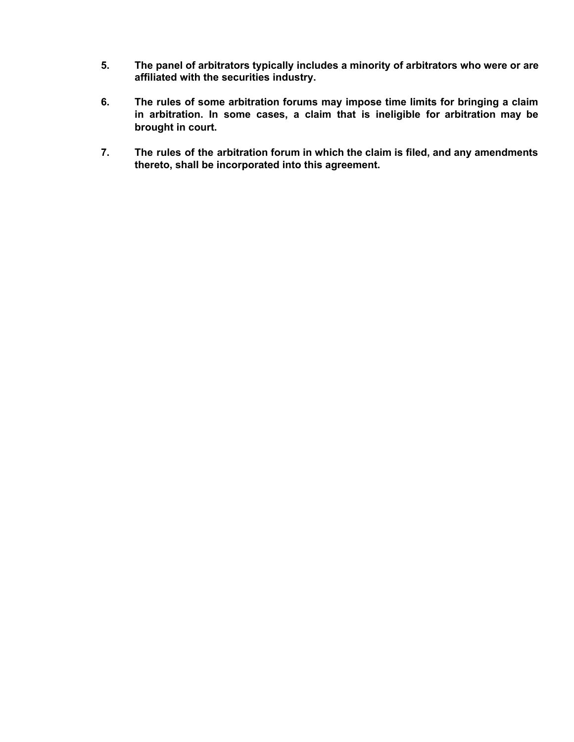- **5. The panel of arbitrators typically includes a minority of arbitrators who were or are affiliated with the securities industry.**
- **6. The rules of some arbitration forums may impose time limits for bringing a claim in arbitration. In some cases, a claim that is ineligible for arbitration may be brought in court.**
- **7. The rules of the arbitration forum in which the claim is filed, and any amendments thereto, shall be incorporated into this agreement.**